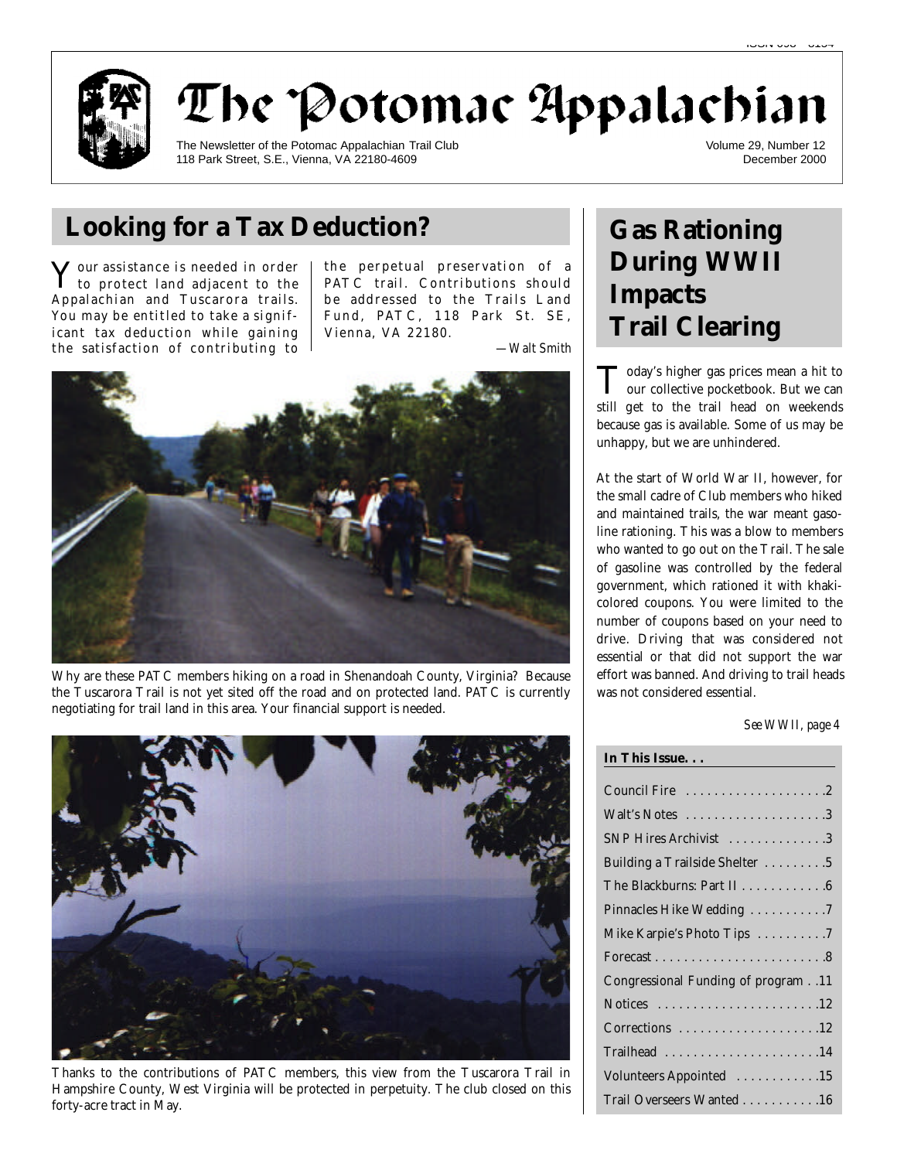

# The Potomac Appalachian

The Newsletter of the Potomac Appalachian Trail Club 118 Park Street, S.E., Vienna, VA 22180-4609

Volume 29, Number 12 December 2000

## **Looking for a Tax Deduction? Gas Rationing**

 $\mathbf Y$  our assistance is needed in order<br>to protect land adjacent to the to protect land adjacent to the Appalachian and Tuscarora trails. You may be entitled to take a significant tax deduction while gaining the satisfaction of contributing to the perpetual preservation of a PATC trail. Contributions should be addressed to the Trails Land Fund, PATC, 118 Park St. SE, Vienna, VA 22180.

*—Walt Smith*



Why are these PATC members hiking on a road in Shenandoah County, Virginia? Because the Tuscarora Trail is not yet sited off the road and on protected land. PATC is currently negotiating for trail land in this area. Your financial support is needed.



Thanks to the contributions of PATC members, this view from the Tuscarora Trail in Hampshire County, West Virginia will be protected in perpetuity. The club closed on this forty-acre tract in May.

# **During WWII Impacts Trail Clearing**

Today's higher gas prices mean a hit to<br>our collective pocketbook. But we can oday's higher gas prices mean a hit to still get to the trail head on weekends because gas is available. Some of us may be unhappy, but we are unhindered.

At the start of World War II, however, for the small cadre of Club members who hiked and maintained trails, the war meant gasoline rationing. This was a blow to members who wanted to go out on the Trail. The sale of gasoline was controlled by the federal government, which rationed it with khakicolored coupons. You were limited to the number of coupons based on your need to drive. Driving that was considered not essential or that did not support the war effort was banned. And driving to trail heads was not considered essential.

*See WWII, page 4*

| Council Fire 2                     |
|------------------------------------|
| Walt's Notes 3                     |
| SNP Hires Archivist 3              |
| Building a Trailside Shelter 5     |
| The Blackburns: Part II 6          |
| Pinnacles Hike Wedding 7           |
| Mike Karpie's Photo Tips 7         |
|                                    |
| Congressional Funding of program11 |
|                                    |
| Corrections 12                     |
| Trailhead 14                       |
| Volunteers Appointed 15            |
| Trail Overseers Wanted 16          |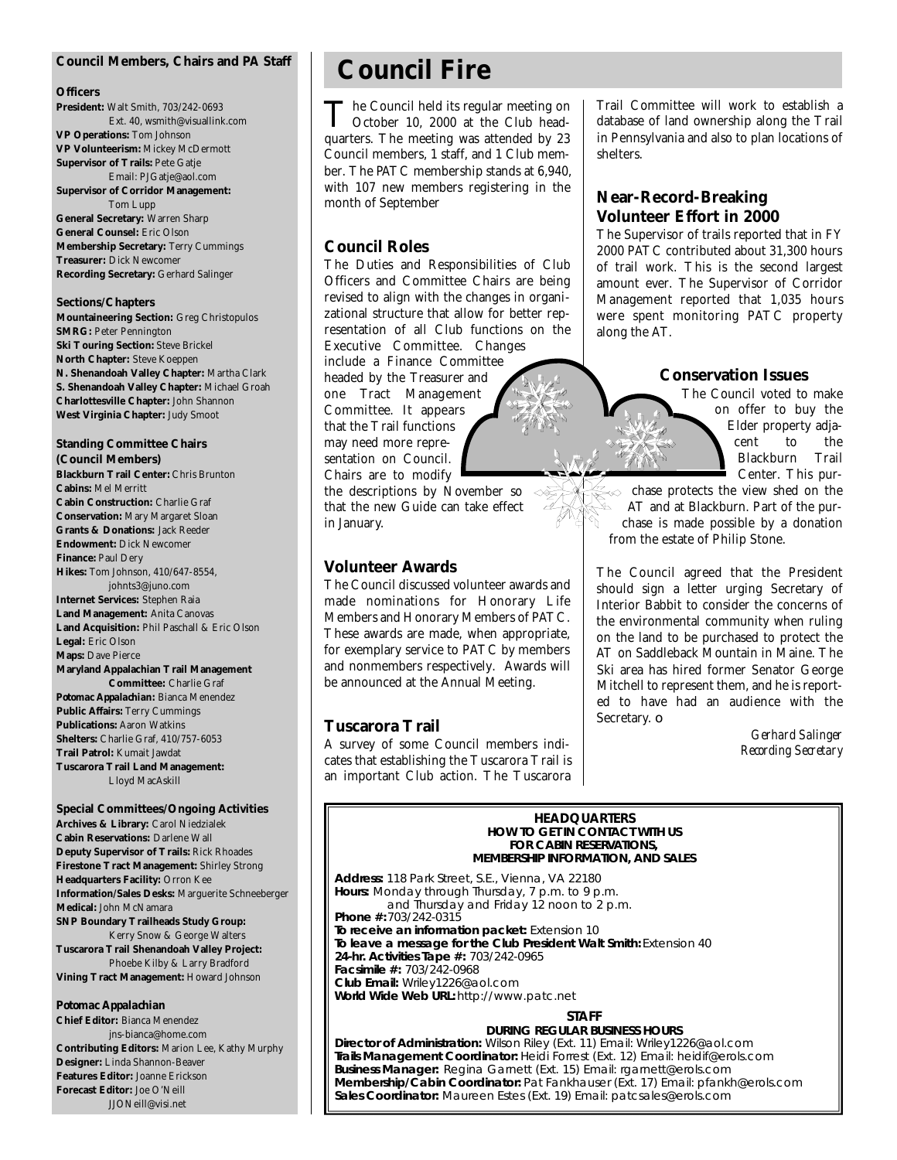#### **Council Members, Chairs and** *PA* **Staff**

#### **Officers**

**President:** Walt Smith, 703/242-0693 Ext. 40, wsmith@visuallink.com **VP Operations:** Tom Johnson **VP Volunteerism:** Mickey McDermott **Supervisor of Trails:** Pete Gatje Email: PJGatje@aol.com **Supervisor of Corridor Management:** Tom Lupp **General Secretary:** Warren Sharp **General Counsel:** Eric Olson **Membership Secretary:** Terry Cummings **Treasurer:** Dick Newcomer **Recording Secretary:** Gerhard Salinger

#### **Sections/Chapters**

**Mountaineering Section:** Greg Christopulos **SMRG: Peter Pennington Ski Touring Section: Steve Brickel North Chapter:** Steve Koeppen **N. Shenandoah Valley Chapter:** Martha Clark **S. Shenandoah Valley Chapter:** Michael Groah **Charlottesville Chapter:** John Shannon **West Virginia Chapter:** Judy Smoot

#### **Standing Committee Chairs (Council Members)**

**Blackburn Trail Center:** Chris Brunton **Cabins:** Mel Merritt **Cabin Construction:** Charlie Graf **Conservation:** Mary Margaret Sloan **Grants & Donations:** Jack Reeder **Endowment:** Dick Newcomer **Finance:** Paul Dery **Hikes:** Tom Johnson, 410/647-8554, johnts3@juno.com **Internet Services:** Stephen Raia **Land Management:** Anita Canovas **Land Acquisition:** Phil Paschall & Eric Olson **Legal:** Eric Olson **Maps:** Dave Pierce **Maryland Appalachian Trail Management Committee:** Charlie Graf *Potomac Appalachian:* Bianca Menendez **Public Affairs:** Terry Cummings **Publications:** Aaron Watkins **Shelters:** Charlie Graf, 410/757-6053 **Trail Patrol:** Kumait Jawdat **Tuscarora Trail Land Management:** Lloyd MacAskill

#### **Special Committees/Ongoing Activities**

**Archives & Library:** Carol Niedzialek **Cabin Reservations:** Darlene Wall **Deputy Supervisor of Trails:** Rick Rhoades **Firestone Tract Management:** Shirley Strong **Headquarters Facility:** Orron Kee **Information/Sales Desks:** Marguerite Schneeberger **Medical:** John McNamara **SNP Boundary Trailheads Study Group:** Kerry Snow & George Walters **Tuscarora Trail Shenandoah Valley Project:** Phoebe Kilby & Larry Bradford **Vining Tract Management:** Howard Johnson

#### *Potomac Appalachian*

**Chief Editor:** Bianca Menendez jns-bianca@home.com **Contributing Editors:** Marion Lee, Kathy Murphy **Designer:** Linda Shannon-Beaver **Features Editor:** Joanne Erickson **Forecast Editor:** Joe O'Neill JJONeill@visi.net

## **Council Fire**

The Council held its regular meeting on<br>Quarters. The meeting was attended by 23 he Council held its regular meeting on October 10, 2000 at the Club head-Council members, 1 staff, and 1 Club member. The PATC membership stands at 6,940, with 107 new members registering in the month of September

#### **Council Roles**

The Duties and Responsibilities of Club Officers and Committee Chairs are being revised to align with the changes in organizational structure that allow for better representation of all Club functions on the Executive Committee. Changes include a Finance Committee headed by the Treasurer and one Tract Management Committee. It appears that the Trail functions may need more representation on Council. Chairs are to modify

the descriptions by November so that the new Guide can take effect in January.

#### **Volunteer Awards**

The Council discussed volunteer awards and made nominations for Honorary Life Members and Honorary Members of PATC. These awards are made, when appropriate, for exemplary service to PATC by members and nonmembers respectively. Awards will be announced at the Annual Meeting.

#### **Tuscarora Trail**

A survey of some Council members indicates that establishing the Tuscarora Trail is an important Club action. The Tuscarora

Trail Committee will work to establish a database of land ownership along the Trail in Pennsylvania and also to plan locations of shelters.

#### **Near-Record-Breaking Volunteer Effort in 2000**

The Supervisor of trails reported that in FY 2000 PATC contributed about 31,300 hours of trail work. This is the second largest amount ever. The Supervisor of Corridor Management reported that 1,035 hours were spent monitoring PATC property along the AT.

#### **Conservation Issues**

The Council voted to make on offer to buy the Elder property adjacent to the<br>Blackburn Trail Blackburn Center. This pur-

chase protects the view shed on the AT and at Blackburn. Part of the purchase is made possible by a donation from the estate of Philip Stone.

The Council agreed that the President should sign a letter urging Secretary of Interior Babbit to consider the concerns of the environmental community when ruling on the land to be purchased to protect the AT on Saddleback Mountain in Maine. The Ski area has hired former Senator George Mitchell to represent them, and he is reported to have had an audience with the Secretary. ❏

> *Gerhard Salinger Recording Secretary*

#### **HEADQUARTERS**<br>HOW TO GET IN CONTACT WITH US **FOR CABIN RESERVATIONS. FRAHIP INFORMATION AND MEMBERSHIP INFORMATION, AND SALES**

**Address:** 118 Park Street, S.E., Vienna, VA 22180 and Thursday and Friday 12 noon to 2 p.m. Phone  $\#: 703/242 - 0315$ To receive an information packet: Extension 10 To leave a message for the Club President Walt Smith: Extension 40 **24-hr. Activities Tape #: 703/242-0965 Facsimile #: 703/242-0968 Club Email: Wriley1226@aol.com Club Email:** Wriley1226@aol.com **World Wide Web URL:** http://www.patc.net

## **STAFF**<br>DURING REGULAR BUSINESS HOURS

Director of Administration: Wilson Riley (Ext. 11) Email: Wriley1226@aol.com Trails Management Coordinator: Heidi Forrest (Ext. 12) Email: heidif@erols.com Business Manager: Regina Garnett (Ext. 15) Email: rgarnett@erols.com **Membership/Cabin Coordinator:** Pat Fankhauser (Ext. 17) Email: pfankh@erols.com **Membership of the manufacture of the Coordinator: Ankhauser (Ext. 19)** Email: pat cales@erols.com **Sales Coordinator:** Maureen Estes (Ext. 19) Email: patcsales@erols.com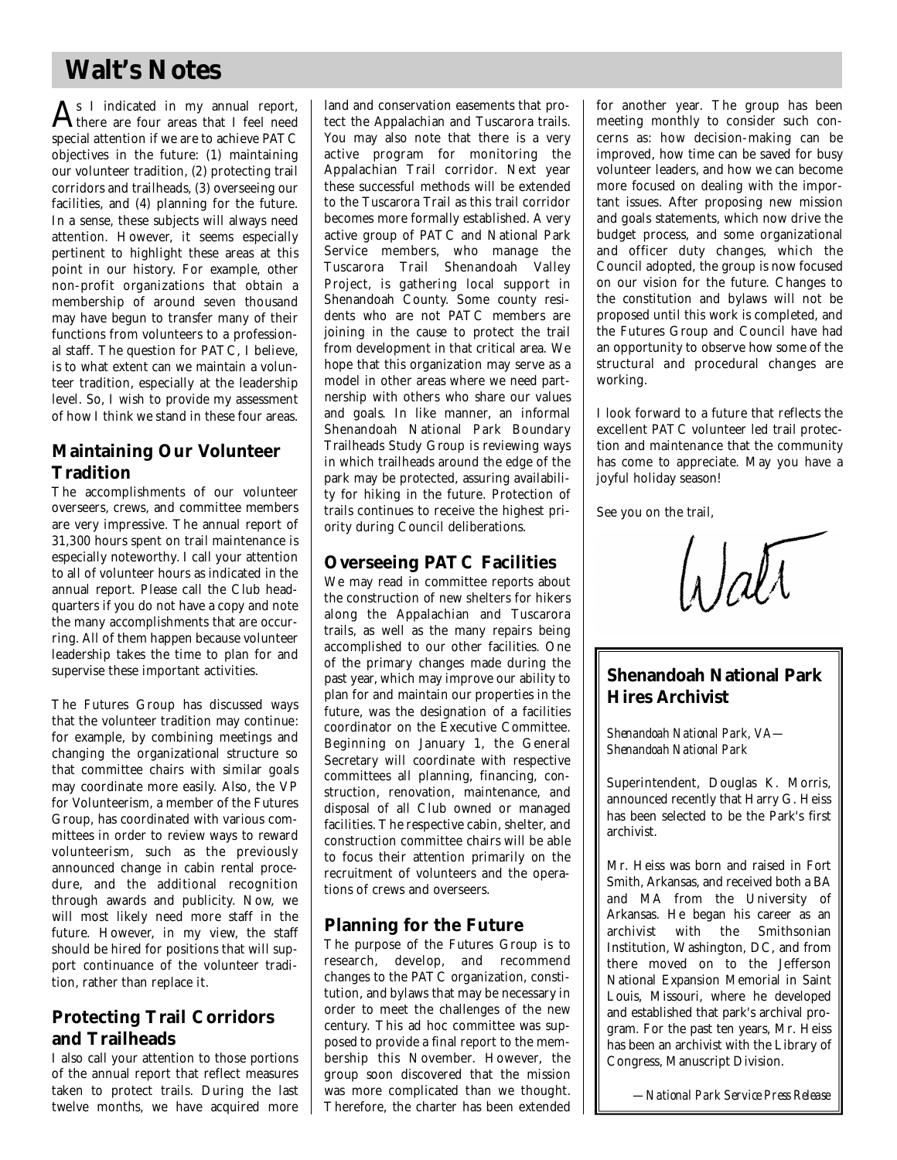## **Walt's Notes**

 $\mathbf{A}_\text{there are four areas that I feel need to be a new image.}$ there are four areas that I feel need special attention if we are to achieve PATC objectives in the future: (1) maintaining our volunteer tradition, (2) protecting trail corridors and trailheads, (3) overseeing our facilities, and (4) planning for the future. In a sense, these subjects will always need attention. However, it seems especially pertinent to highlight these areas at this point in our history. For example, other non-profit organizations that obtain a membership of around seven thousand may have begun to transfer many of their functions from volunteers to a professional staff. The question for PATC, I believe, is to what extent can we maintain a volunteer tradition, especially at the leadership level. So, I wish to provide my assessment of how I think we stand in these four areas.

### **Maintaining Our Volunteer Tradition**

The accomplishments of our volunteer overseers, crews, and committee members are very impressive. The annual report of 31,300 hours spent on trail maintenance is especially noteworthy. I call your attention to all of volunteer hours as indicated in the annual report. Please call the Club headquarters if you do not have a copy and note the many accomplishments that are occurring. All of them happen because volunteer leadership takes the time to plan for and supervise these important activities.

The Futures Group has discussed ways that the volunteer tradition may continue: for example, by combining meetings and changing the organizational structure so that committee chairs with similar goals may coordinate more easily. Also, the VP for Volunteerism, a member of the Futures Group, has coordinated with various committees in order to review ways to reward volunteerism, such as the previously announced change in cabin rental procedure, and the additional recognition through awards and publicity. Now, we will most likely need more staff in the future. However, in my view, the staff should be hired for positions that will support continuance of the volunteer tradition, rather than replace it.

### **Protecting Trail Corridors** and Trailheads

I also call your attention to those portions of the annual report that reflect measures taken to protect trails. During the last twelve months, we have acquired more

land and conservation easements that protect the Appalachian and Tuscarora trails. You may also note that there is a very active program for monitoring the Appalachian Trail corridor. Next year these successful methods will be extended to the Tuscarora Trail as this trail corridor becomes more formally established. A very active group of PATC and National Park Service members, who manage the Tuscarora Trail Shenandoah Valley Project, is gathering local support in Shenandoah County. Some county residents who are not PATC members are joining in the cause to protect the trail from development in that critical area. We hope that this organization may serve as a model in other areas where we need partnership with others who share our values and goals. In like manner, an informal Shenandoah National Park Boundary Trailheads Study Group is reviewing ways in which trailheads around the edge of the park may be protected, assuring availability for hiking in the future. Protection of trails continues to receive the highest priority during Council deliberations.

### **Overseeing PATC Facilities**

We may read in committee reports about the construction of new shelters for hikers along the Appalachian and Tuscarora trails, as well as the many repairs being accomplished to our other facilities. One of the primary changes made during the past year, which may improve our ability to plan for and maintain our properties in the future, was the designation of a facilities coordinator on the Executive Committee. Beginning on January 1, the General Secretary will coordinate with respective committees all planning, financing, construction, renovation, maintenance, and disposal of all Club owned or managed facilities. The respective cabin, shelter, and construction committee chairs will be able to focus their attention primarily on the recruitment of volunteers and the operations of crews and overseers.

### **Planning for the Future**

The purpose of the Futures Group is to research, develop, and recommend changes to the PATC organization, constitution, and bylaws that may be necessary in order to meet the challenges of the new century. This ad hoc committee was supposed to provide a final report to the membership this November. However, the group soon discovered that the mission was more complicated than we thought. Therefore, the charter has been extended for another year. The group has been meeting monthly to consider such concerns as: how decision-making can be improved, how time can be saved for busy volunteer leaders, and how we can become more focused on dealing with the important issues. After proposing new mission and goals statements, which now drive the budget process, and some organizational and officer duty changes, which the Council adopted, the group is now focused on our vision for the future. Changes to the constitution and bylaws will not be p roposed until this work is completed, and the Futures Group and Council have had an opportunity to observe how some of the structural and procedural changes are working.

I look forward to a future that reflects the excellent PATC volunteer led trail protection and maintenance that the community has come to appreciate. May you have a joyful holiday season!

See you on the trail,

 $\int_A f \, dV$ 

### **Shenandoah National Park Hires Archivist**

*Shenandoah National Park, VA— Shenandoah National Park* 

Superintendent, Douglas K. Morris, announced recently that Harry G. Heiss has been selected to be the Park's first archivist.

Mr. Heiss was born and raised in Fort Smith, Arkansas, and received both a BA and MA from the University of Arkansas. He began his career as an a rchivist with the Smithsonian Institution, Washington, DC, and from there moved on to the Jefferson National Expansion Memorial in Saint Louis, Missouri, where he developed and established that park's archival program. For the past ten years, Mr. Heiss has been an archivist with the Library of Congress, Manuscript Division.

*—National Park Service Press Release*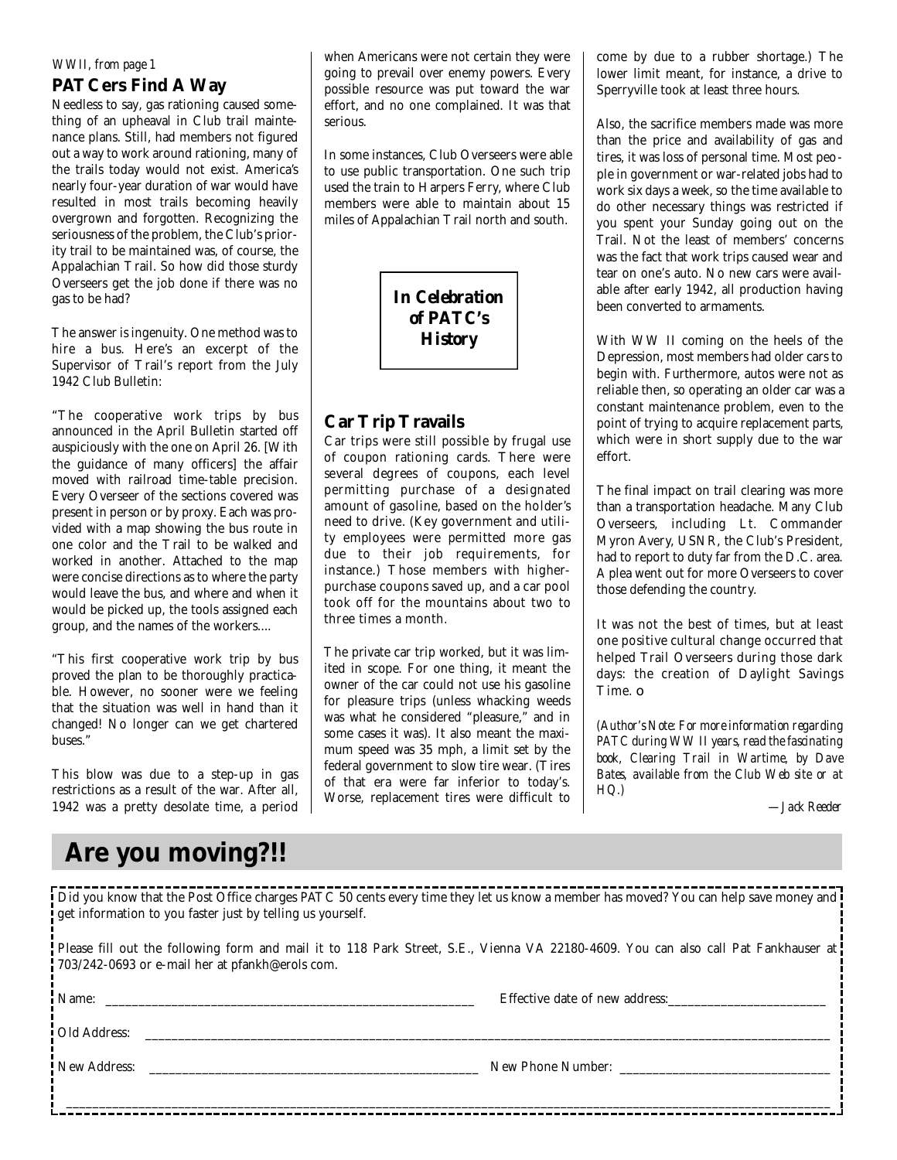#### *WWII, from page 1*

#### **PATCers Find A Way**

Needless to say, gas rationing caused something of an upheaval in Club trail maintenance plans. Still, had members not figured out a way to work around rationing, many of the trails today would not exist. America's nearly four-year duration of war would have resulted in most trails becoming heavily overgrown and forgotten. Recognizing the seriousness of the problem, the Club's priority trail to be maintained was, of course, the Appalachian Trail. So how did those sturdy Overseers get the job done if there was no gas to be had?

The answer is ingenuity. One method was to hire a bus. Here's an excerpt of the Supervisor of Trail's report from the July 1942 Club Bulletin:

"The cooperative work trips by bus announced in the April Bulletin started off auspiciously with the one on April 26. [With the guidance of many officers] the affair moved with railroad time-table precision. Every Overseer of the sections covered was present in person or by proxy. Each was provided with a map showing the bus route in one color and the Trail to be walked and worked in another. Attached to the map were concise directions as to where the party would leave the bus, and where and when it would be picked up, the tools assigned each group, and the names of the workers....

"This first cooperative work trip by bus proved the plan to be thoroughly practicable. However, no sooner were we feeling that the situation was well in hand than it changed! No longer can we get chartered buses."

This blow was due to a step-up in gas restrictions as a result of the war. After all, 1942 was a pretty desolate time, a period

## **Are you moving?!!**

when Americans were not certain they were going to prevail over enemy powers. Every possible resource was put toward the war effort, and no one complained. It was that serious.

In some instances, Club Overseers were able to use public transportation. One such trip used the train to Harpers Ferry, where Club members were able to maintain about 15 miles of Appalachian Trail north and south.

> *In Celebration of PATC's History*

#### **Car Trip Travails**

Car trips were still possible by frugal use of coupon rationing cards. There were several degrees of coupons, each level permitting purchase of a designated amount of gasoline, based on the holder's need to drive. (Key government and utility employees were permitted more gas due to their job requirements, for instance.) Those members with higherpurchase coupons saved up, and a car pool took off for the mountains about two to three times a month.

The private car trip worked, but it was limited in scope. For one thing, it meant the owner of the car could not use his gasoline for pleasure trips (unless whacking weeds was what he considered "pleasure," and in some cases it was). It also meant the maximum speed was 35 mph, a limit set by the federal government to slow tire wear. (Tires of that era were far inferior to today's. Worse, replacement tires were difficult to come by due to a rubber shortage.) The lower limit meant, for instance, a drive to Sperryville took at least three hours.

Also, the sacrifice members made was more than the price and availability of gas and tires, it was loss of personal time. Most people in government or war-related jobs had to work six days a week, so the time available to do other necessary things was restricted if you spent your Sunday going out on the Trail. Not the least of members' concerns was the fact that work trips caused wear and tear on one's auto. No new cars were available after early 1942, all production having been converted to armaments.

With WW II coming on the heels of the Depression, most members had older cars to begin with. Furthermore, autos were not as reliable then, so operating an older car was a constant maintenance problem, even to the point of trying to acquire replacement parts, which were in short supply due to the war effort.

The final impact on trail clearing was more than a transportation headache. Many Club Overseers, including Lt. Commander Myron Avery, USNR, the Club's President, had to report to duty far from the D.C. area. A plea went out for more Overseers to cover those defending the country.

It was not the best of times, but at least one positive cultural change occurred that helped Trail Overseers during those dark days: the creation of Daylight Savings Time.  $\Box$ 

*(Author's Note: For more information regarding PATC during WW II years, read the fascinating book, Clearing Trail in Wartime, by Dave Bates, available from the Club Web site or at HQ.)*

*—Jack Reeder*

| Did you know that the Post Office charges PATC 50 cents every time they let us know a member has moved? You can help save money and !<br>get information to you faster just by telling us yourself. |                                |  |
|-----------------------------------------------------------------------------------------------------------------------------------------------------------------------------------------------------|--------------------------------|--|
| Please fill out the following form and mail it to 118 Park Street, S.E., Vienna VA 22180-4609. You can also call Pat Fankhauser at<br>703/242-0693 or e-mail her at pfankh@erols com.               |                                |  |
|                                                                                                                                                                                                     | Effective date of new address: |  |
| <b>Old Address:</b> Cold Address:                                                                                                                                                                   |                                |  |
| New Address:                                                                                                                                                                                        | New Phone Number:              |  |
|                                                                                                                                                                                                     |                                |  |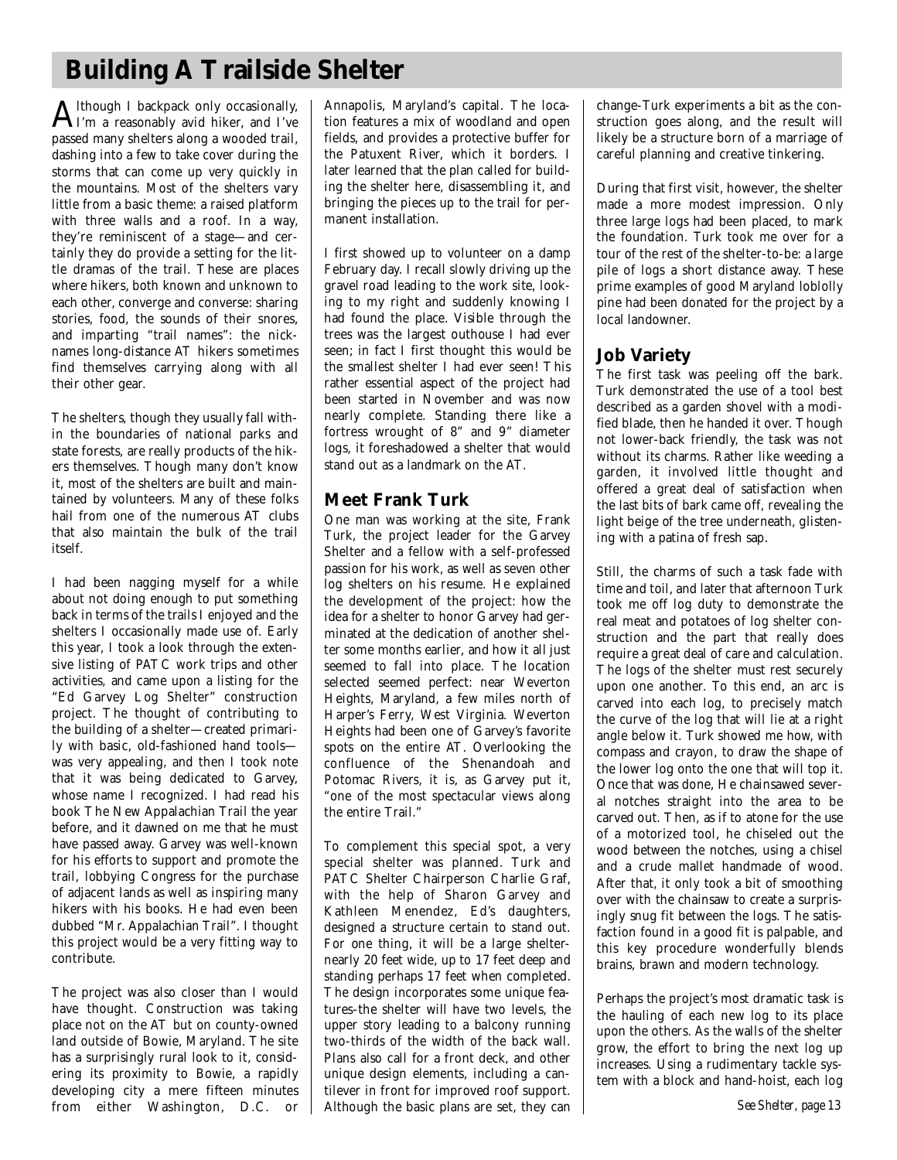## **Building A Trailside Shelter**

 ${\rm A}$ Ithough I backpack only occasionally,<br> ${\rm A}$ I'm a reasonably avid hiker, and I've I'm a reasonably avid hiker, and I've passed many shelters along a wooded trail, dashing into a few to take cover during the storms that can come up very quickly in the mountains. Most of the shelters vary little from a basic theme: a raised platform with three walls and a roof. In a way, they're reminiscent of a stage—and certainly they do provide a setting for the little dramas of the trail. These are places where hikers, both known and unknown to each other, converge and converse: sharing stories, food, the sounds of their snores, and imparting "trail names": the nicknames long-distance AT hikers sometimes find themselves carrying along with all their other gear.

The shelters, though they usually fall within the boundaries of national parks and state forests, are really products of the hikers themselves. Though many don't know it, most of the shelters are built and maintained by volunteers. Many of these folks hail from one of the numerous AT clubs that also maintain the bulk of the trail itself.

I had been nagging myself for a while about not doing enough to put something back in terms of the trails I enjoyed and the shelters I occasionally made use of. Early this year, I took a look through the extensive listing of PATC work trips and other activities, and came upon a listing for the "Ed Garvey Log Shelter" construction p roject. The thought of contributing to the building of a shelter—created primarily with basic, old-fashioned hand tools was very appealing, and then I took note that it was being dedicated to Garvey, whose name I recognized. I had read his book The New Appalachian Trail the year before, and it dawned on me that he must have passed away. Garvey was well-known for his efforts to support and promote the trail, lobbying Congress for the purchase of adjacent lands as well as inspiring many hikers with his books. He had even been dubbed "Mr. Appalachian Trail". I thought this project would be a very fitting way to contribute.

The project was also closer than I would have thought. Construction was taking place not on the AT but on county-owned land outside of Bowie, Maryland. The site has a surprisingly rural look to it, considering its proximity to Bowie, a rapidly developing city a mere fifteen minutes from either Washington, D.C. or Annapolis, Maryland's capital. The location features a mix of woodland and open fields, and provides a protective buffer for the Patuxent River, which it borders. I later learned that the plan called for building the shelter here, disassembling it, and bringing the pieces up to the trail for permanent installation.

I first showed up to volunteer on a damp February day. I recall slowly driving up the gravel road leading to the work site, looking to my right and suddenly knowing I had found the place. Visible through the trees was the largest outhouse I had ever seen; in fact I first thought this would be the smallest shelter I had ever seen! This rather essential aspect of the project had been started in November and was now nearly complete. Standing there like a fortress wrought of 8" and 9" diameter logs, it foreshadowed a shelter that would stand out as a landmark on the AT.

### **Meet Frank Turk**

One man was working at the site, Frank Turk, the project leader for the Garvey Shelter and a fellow with a self-professed passion for his work, as well as seven other log shelters on his resume. He explained the development of the project: how the idea for a shelter to honor Garvey had germinated at the dedication of another shelter some months earlier, and how it all just seemed to fall into place. The location selected seemed perfect: near Weverton Heights, Maryland, a few miles north of Harper's Ferry, West Virginia. Weverton Heights had been one of Garvey's favorite spots on the entire AT. Overlooking the confluence of the Shenandoah and Potomac Rivers, it is, as Garvey put it, "one of the most spectacular views along the entire Trail."

To complement this special spot, a very special shelter was planned. Turk and PATC Shelter Chairperson Charlie Graf, with the help of Sharon Garvey and Kathleen Menendez, Ed's daughters, designed a structure certain to stand out. For one thing, it will be a large shelternearly 20 feet wide, up to 17 feet deep and standing perhaps 17 feet when completed. The design incorporates some unique features-the shelter will have two levels, the upper story leading to a balcony running two-thirds of the width of the back wall. Plans also call for a front deck, and other unique design elements, including a cantilever in front for improved roof support. Although the basic plans are set, they can change-Turk experiments a bit as the construction goes along, and the result will likely be a structure born of a marriage of careful planning and creative tinkering.

During that first visit, however, the shelter made a more modest impression. Only three large logs had been placed, to mark the foundation. Turk took me over for a tour of the rest of the shelter-to-be: a large pile of logs a short distance away. These prime examples of good Maryland loblolly pine had been donated for the project by a local landowner.

### **Job Variety**

The first task was peeling off the bark. Turk demonstrated the use of a tool best described as a garden shovel with a modified blade, then he handed it over. Though not lower-back friendly, the task was not without its charms. Rather like weeding a garden, it involved little thought and offered a great deal of satisfaction when the last bits of bark came off, revealing the light beige of the tree underneath, glistening with a patina of fresh sap.

Still, the charms of such a task fade with time and toil, and later that afternoon Turk took me off log duty to demonstrate the real meat and potatoes of log shelter construction and the part that really does require a great deal of care and calculation. The logs of the shelter must rest securely upon one another. To this end, an arc is carved into each log, to precisely match the curve of the log that will lie at a right angle below it. Turk showed me how, with compass and crayon, to draw the shape of the lower log onto the one that will top it. Once that was done, He chainsawed several notches straight into the area to be carved out. Then, as if to atone for the use of a motorized tool, he chiseled out the wood between the notches, using a chisel and a crude mallet handmade of wood. After that, it only took a bit of smoothing over with the chainsaw to create a surprisingly snug fit between the logs. The satisfaction found in a good fit is palpable, and this key procedure wonderfully blends brains, brawn and modern technology.

Perhaps the project's most dramatic task is the hauling of each new log to its place upon the others. As the walls of the shelter grow, the effort to bring the next log up increases. Using a rudimentary tackle system with a block and hand-hoist, each log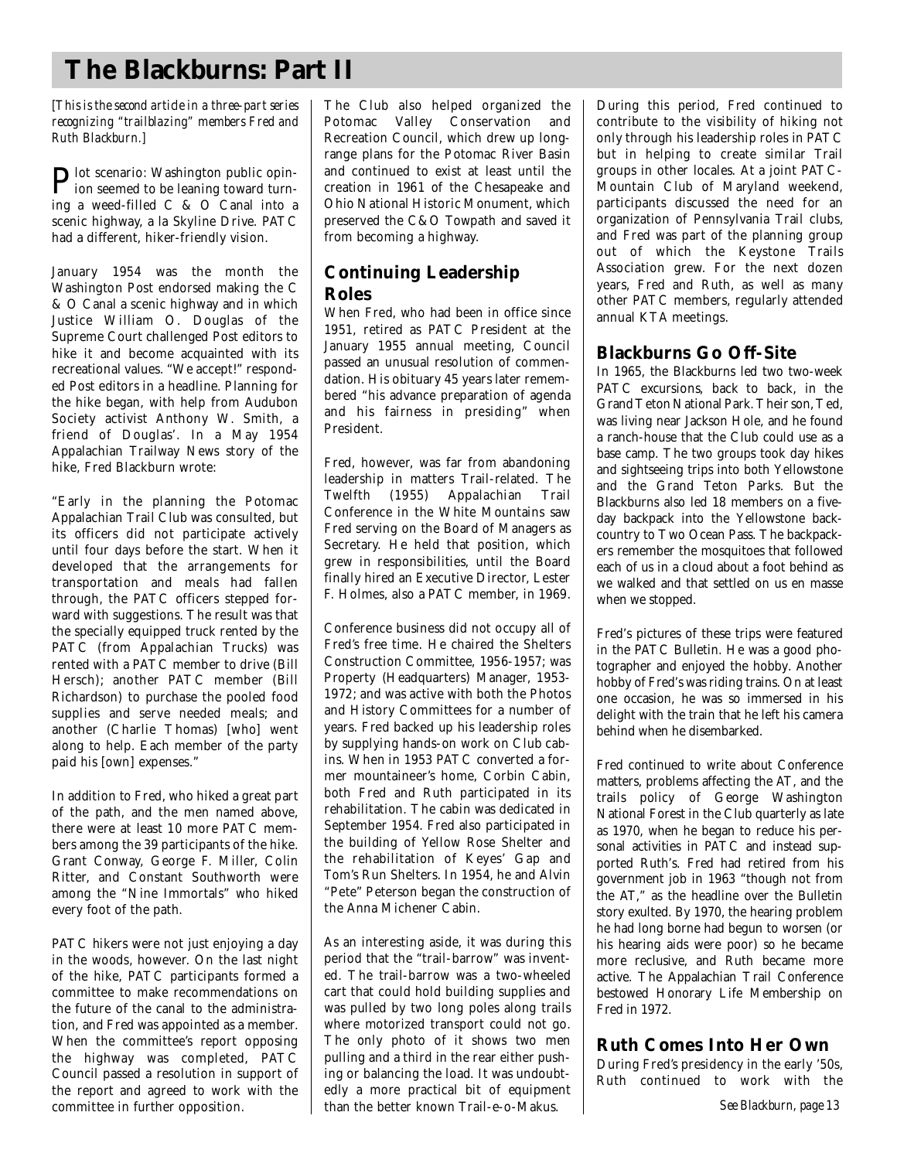## **The Blackburns: Part II**

*[This is the second article in a three-part series] recognizing "trailblazing" members Fred and Ruth Blackburn . ]*

**P**lot scenario: Washington public opin-<br>ion seemed to be leaning toward turnion seemed to be leaning toward turning a weed-filled C & O Canal into a scenic highway, a la Skyline Drive. PATC had a different, hiker-friendly vision.

January 1954 was the month the Washington Post endorsed making the C & O Canal a scenic highway and in which Justice William O. Douglas of the Supreme Court challenged Post editors to hike it and become acquainted with its recreational values. "We accept!" responded Post editors in a headline. Planning for the hike began, with help from Audubon Society activist Anthony W. Smith, a friend of Douglas'. In a May 1954 Appalachian Trailway News story of the hike, Fred Blackburn wrote:

"Early in the planning the Potomac Appalachian Trail Club was consulted, but its officers did not participate actively until four days before the start. When it developed that the arrangements for transportation and meals had fallen through, the PATC officers stepped forward with suggestions. The result was that the specially equipped truck rented by the PATC (from Appalachian Trucks) was rented with a PATC member to drive (Bill Hersch); another PATC member (Bill Richardson) to purchase the pooled food supplies and serve needed meals; and another (Charlie Thomas) [who] went along to help. Each member of the party paid his [own] expenses."

In addition to Fred, who hiked a great part of the path, and the men named above, there were at least 10 more PATC members among the 39 participants of the hike. Grant Conway, George F. Miller, Colin Ritter, and Constant Southworth were among the "Nine Immortals" who hiked every foot of the path.

PATC hikers were not just enjoying a day in the woods, however. On the last night of the hike, PATC participants formed a committee to make recommendations on the future of the canal to the administration, and Fred was appointed as a member. When the committee's report opposing the highway was completed, PATC Council passed a resolution in support of the report and agreed to work with the committee in further opposition.

The Club also helped organized the Potomac Valley Conservation and Recreation Council, which drew up longrange plans for the Potomac River Basin and continued to exist at least until the c reation in 1961 of the Chesapeake and Ohio National Historic Monument, which preserved the  $C&O$  Towpath and saved it from becoming a highway.

### **Continuing Leadership R o l e s**

When Fred, who had been in office since 1951, retired as PATC President at the January 1955 annual meeting, Council passed an unusual resolution of commendation. His obituary 45 years later remembered "his advance preparation of agenda and his fairness in presiding" when President.

Fred, however, was far from abandoning leadership in matters Trail-related. The Twelfth (1955) Appalachian Trail Conference in the White Mountains saw Fred serving on the Board of Managers as Secretary. He held that position, which grew in responsibilities, until the Board finally hired an Executive Director, Lester F. Holmes, also a PATC member, in 1969.

Conference business did not occupy all of Fred's free time. He chaired the Shelters Construction Committee, 1956-1957; was Property (Headquarters) Manager, 1953-1972; and was active with both the Photos and History Committees for a number of years. Fred backed up his leadership roles by supplying hands-on work on Club cabins. When in 1953 PATC converted a former mountaineer's home, Corbin Cabin, both Fred and Ruth participated in its rehabilitation. The cabin was dedicated in September 1954. Fred also participated in the building of Yellow Rose Shelter and the rehabilitation of Keyes' Gap and Tom's Run Shelters. In 1954, he and Alvin "Pete" Peterson began the construction of the Anna Michener Cabin.

As an interesting aside, it was during this period that the "trail-barrow" was invented. The trail-barrow was a two-wheeled cart that could hold building supplies and was pulled by two long poles along trails where motorized transport could not go. The only photo of it shows two men pulling and a third in the rear either pushing or balancing the load. It was undoubtedly a more practical bit of equipment than the better known Trail-e-o-Makus.

During this period, Fred continued to contribute to the visibility of hiking not only through his leadership roles in PAT C but in helping to create similar Trail groups in other locales. At a joint PATC-Mountain Club of Maryland weekend, participants discussed the need for an organization of Pennsylvania Trail clubs, and Fred was part of the planning group out of which the Keystone Trails Association grew. For the next dozen years, Fred and Ruth, as well as many other PATC members, regularly attended annual KTA meetings.

### **Blackburns Go Off-Site**

In 1965, the Blackburns led two two-week PATC excursions, back to back, in the Grand Teton National Park. Their son, Ted, was living near Jackson Hole, and he found a ranch-house that the Club could use as a base camp. The two groups took day hikes and sightseeing trips into both Yellowstone and the Grand Teton Parks. But the Blackburns also led 18 members on a fiveday backpack into the Yellowstone backcountry to Two Ocean Pass. The backpackers remember the mosquitoes that followed each of us in a cloud about a foot behind as we walked and that settled on us en masse when we stopped.

Fred's pictures of these trips were featured in the PATC Bulletin. He was a good photographer and enjoyed the hobby. Another hobby of Fred's was riding trains. On at least one occasion, he was so immersed in his delight with the train that he left his camera behind when he disembarked.

Fred continued to write about Conference matters, problems affecting the AT, and the trails policy of George Washington National Forest in the Club quarterly as late as 1970, when he began to reduce his personal activities in PATC and instead supported Ruth's. Fred had retired from his government job in 1963 "though not from the AT," as the headline over the Bulletin story exulted. By 1970, the hearing problem he had long borne had begun to worsen (or his hearing aids were poor) so he became more reclusive, and Ruth became more active. The Appalachian Trail Conference bestowed Honorary Life Membership on Fred in 1972.

### **Ruth Comes Into Her Own**

During Fred's presidency in the early '50s, Ruth continued to work with the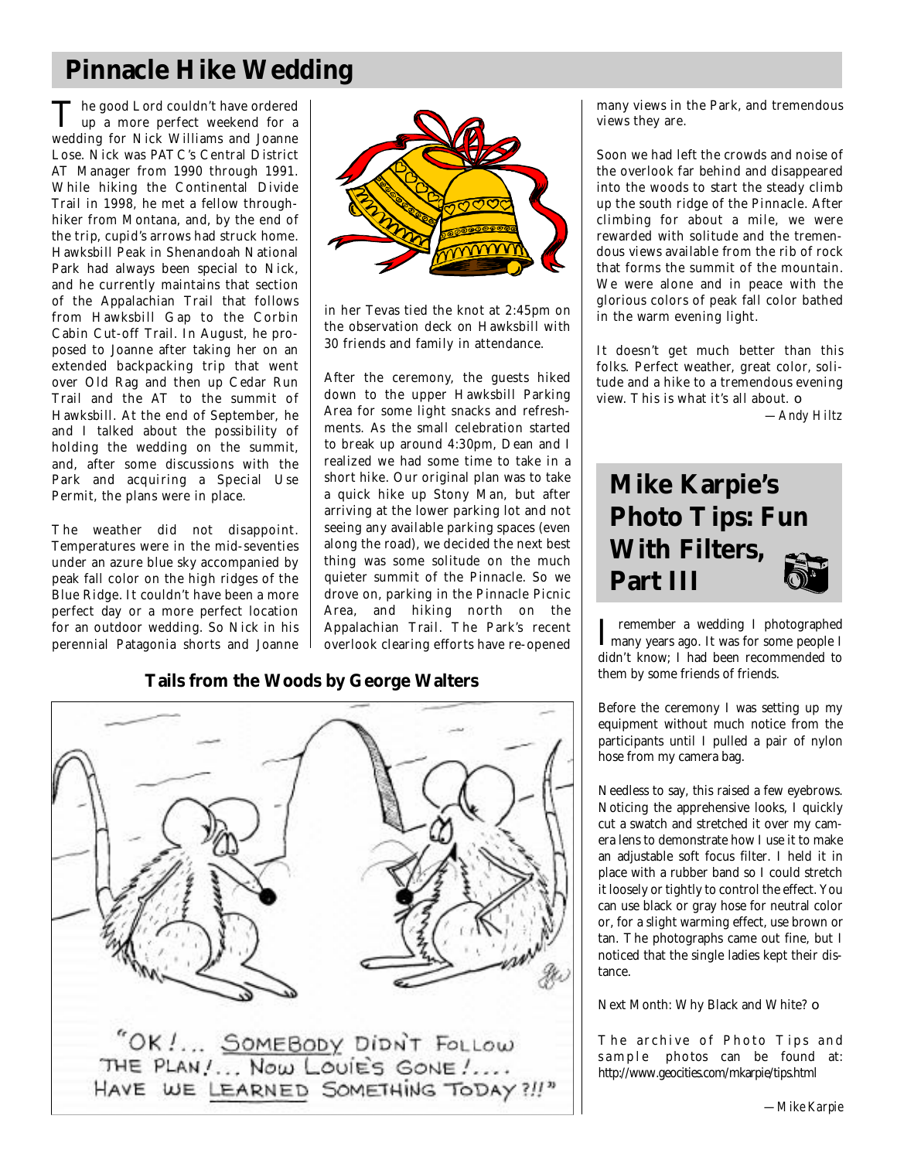## **Pinnacle Hike Wedding**

The good Lord couldn't have ordered<br>
up a more perfect weekend for a The good Lord couldn't have ordered wedding for Nick Williams and Joanne Lose. Nick was PATC's Central District AT Manager from 1990 through 1991. While hiking the Continental Divide Trail in 1998, he met a fellow throughhiker from Montana, and, by the end of the trip, cupid's arrows had struck home. Hawksbill Peak in Shenandoah National Park had always been special to Nick, and he currently maintains that section of the Appalachian Trail that follows from Hawksbill Gap to the Corbin Cabin Cut-off Trail. In August, he proposed to Joanne after taking her on an extended backpacking trip that went over Old Rag and then up Cedar Run Trail and the AT to the summit of Hawksbill. At the end of September, he and I talked about the possibility of holding the wedding on the summit, and, after some discussions with the Park and acquiring a Special Use Permit, the plans were in place.

The weather did not disappoint. Temperatures were in the mid-seventies under an azure blue sky accompanied by peak fall color on the high ridges of the Blue Ridge. It couldn't have been a more perfect day or a more perfect location for an outdoor wedding. So Nick in his perennial Patagonia shorts and Joanne



in her Tevas tied the knot at 2:45pm on the observation deck on Hawksbill with 30 friends and family in attendance.

After the ceremony, the guests hiked down to the upper Hawksbill Parking Area for some light snacks and refreshments. As the small celebration started to break up around 4:30pm, Dean and I realized we had some time to take in a short hike. Our original plan was to take a quick hike up Stony Man, but after arriving at the lower parking lot and not seeing any available parking spaces (even along the road), we decided the next best thing was some solitude on the much quieter summit of the Pinnacle. So we drove on, parking in the Pinnacle Picnic Area, and hiking north on the Appalachian Trail. The Park's recent overlook clearing efforts have re-opened

### **Tails from the Woods by George Walters**



many views in the Park, and tremendous views they are.

Soon we had left the crowds and noise of the overlook far behind and disappeared into the woods to start the steady climb up the south ridge of the Pinnacle. After climbing for about a mile, we were rewarded with solitude and the tremendous views available from the rib of rock that forms the summit of the mountain. We were alone and in peace with the glorious colors of peak fall color bathed in the warm evening light.

It doesn't get much better than this folks. Perfect weather, great color, solitude and a hike to a tremendous evening view. This is what it's all about.  $\Box$ 

*—Andy Hiltz*

## **Mike Karpie's Photo Tips: Fun With Filters, Part III**

I remember a wedding I photographed<br>
many years ago. It was for some people I remember a wedding I photographed didn't know; I had been recommended to them by some friends of friends.

Before the ceremony I was setting up my equipment without much notice from the participants until I pulled a pair of nylon hose from my camera bag.

Needless to say, this raised a few eyebrows. Noticing the apprehensive looks, I quickly cut a swatch and stretched it over my camera lens to demonstrate how I use it to make an adjustable soft focus filter. I held it in place with a rubber band so I could stretch it loosely or tightly to control the effect. You can use black or gray hose for neutral color or, for a slight warming effect, use brown or tan. The photographs came out fine, but I noticed that the single ladies kept their distance.

Next Month: Why Black and White? ❏

The archive of Photo Tips and s a m p l e photos can be found at: http://www.geocities.com/mkarpie/tips.html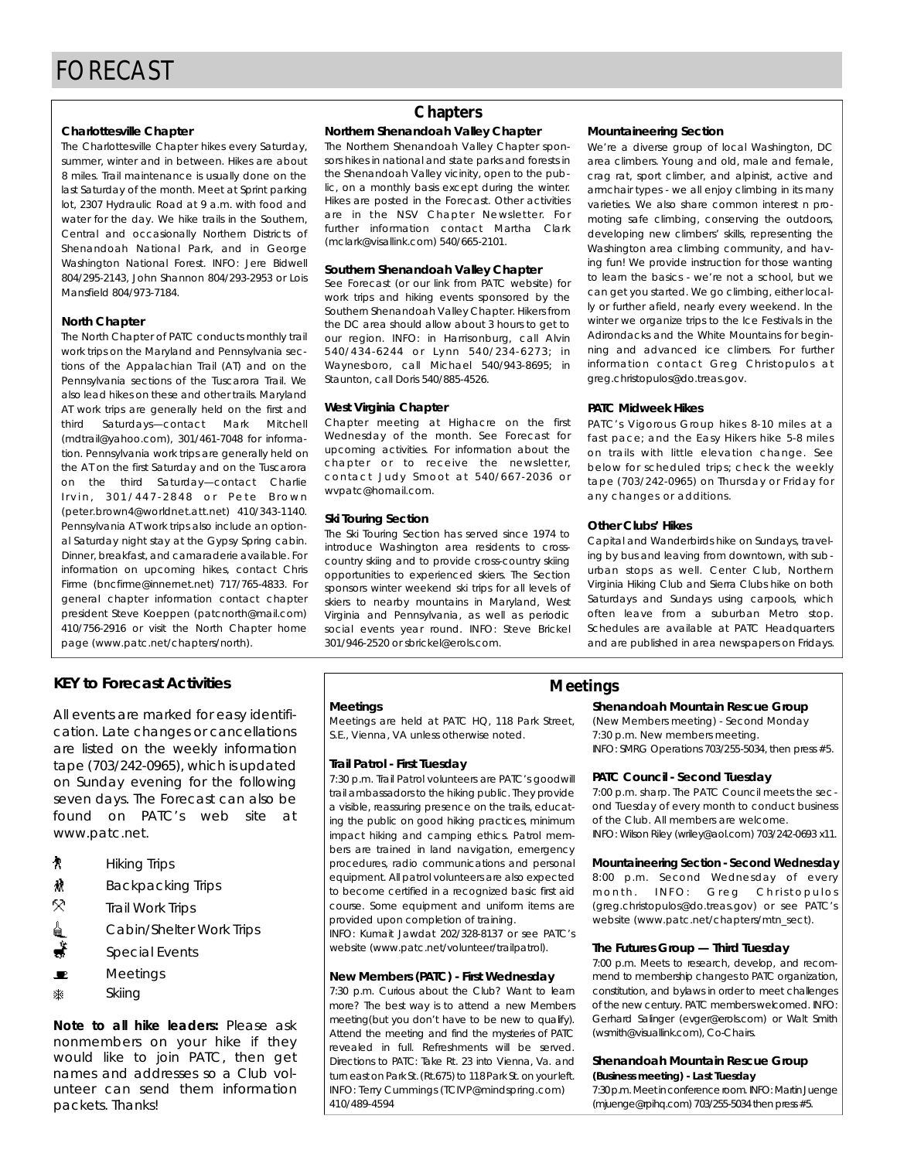**Charlottesville Chapter** summer, winter and in between. Hikes are about 8 miles. Trail maintenance is usually done on the last Saturday of the month. Meet at Sprint parking lot, 2307 Hydraulic Road at 9 a.m. with food and water for the day. We hike trails in the Southern, Central and occasionally Northern Districts of Shenandoah National Park, and in George Washington National Forest. INFO: Jere Bidwell 804/295-2143. John Shannon 804/293-2953 or Lois Mansfield 804/973-7184.  $M<sub>2</sub>$  and  $M<sub>2</sub>$  and  $M<sub>2</sub>$  and  $M<sub>2</sub>$  and  $M<sub>2</sub>$ 

**North Chapter**<br>The North Chapter of PATC conducts monthly trail work trips on the Maryland and Pennsylvania sections of the Appalachian Trail (AT) and on the Pennsylvania sections of the Tuscarora Trail. We also lead hikes on these and other trails. Maryland AT work trips are generally held on the first and third Saturdays-contact Mark Mitchell (mdtrail@yahoo.com), 301/461-7048 for information. Pennsylvania work trips are generally held on the AT on the first Saturday and on the Tuscarora on the third Saturday-contact Charlie Irvin, 301/447-2848 or Pete Brown  $($  peter.brown4@worldnet.att.net)  $\frac{410}{343}$ -1140. Pennsylvania AT work trips also include an optional Saturday night stay at the Gypsy Spring cabin. Dinner, breakfast, and camaraderie available. For information on upcoming hikes, contact Chris Firme (bncfirme@innernet.net) 717/765-4833. For general chapter information contact chapter president Steve Koeppen (patcnorth@mail.com) 410/756-2916 or visit the North Chapter home 410/756-2916 or visit the North Chapter home page (www.patc.net/chapters/north).

#### **KEY to Forecast Activities Meetings**

All events are marked for easy identifi-<br>cation. Late changes or cancellations are listed on the weekly information  $t$ ape (703/242-0965), which is updated on Sunday evening for the following seven days. The Forecast can also be found on PATC's web site at found on PATC's web site at ww.patc.net.

- Ŷ. Hiking Trips
- À Backpacking Trips
- 52 Trail Work Trips
- € Cabin Shokor Work mps
- Special Events<br>Meetings
- æ. Meetings
- 寨. Skiing

*Note to all hike leaders: Please ask* nonmembers on your hike if they would like to join PATC, then get names and addresses so a Club volunteer can send them information unteer can send them information packets. Thanks!

#### **Chapters**

## **Northern Shenandoah Valley Chapter**<br>The Northern Shenandoah Valley Chapter spon-

sors hikes in national and state parks and forests in the Shenandoah Valley vicinity, open to the public, on a monthly basis except during the winter. Hikes are posted in the Forecast. Other activities are in the NSV Chapter Newsletter. For further information contact Martha Clark further information contact martha claim (mclark@visallink.com) 540/665-2101.

### **Southern Shenandoah Valley Chapter**<br>See Forecast (or our link from PATC website) for

work trips and hiking events sponsored by the Southern Shenandoah Valley Chapter. Hikers from the DC area should allow about 3 hours to get to our region. INFO: in Harrisonburg, call Alvin 540/434-6244 or Lynn 540/234-6273; in Waynesboro, call Michael 540/943-8695: in wa y nossoroj dosa milionalor direziro dezej in:<br>Stounton doll Doris 540/995-4594  $S(1)$  and  $S(1)$  does not be considered by  $S(1)$ 

West Virginia Chapter<br>Chapter meeting at Highacre on the first Wednesday of the month. See Forecast for upcoming activities. For information about the chapter or to receive the newsletter, contact Judy Smoot at 540/667-2036 or con tac t day ombot at 540/667-2006 or www.patoon.com.com...

**Ski Touring Section**<br>The Ski Touring Section has served since 1974 to introduce Washington area residents to crosscountry skiing and to provide cross-country skiing opportunities to experienced skiers. The Section sponsors winter weekend ski trips for all levels of skiers to nearby mountains in Maryland, West Virginia and Pennsylvania, as well as periodic social events year round. INFO: Steve Brickel social events year round. INFO: Steve Brickel 301/946-2520 or sbrickel@erols.com.

**Mountaineering Section**<br>We're a diverse group of local Washington, DC area climbers. Young and old, male and female, crag rat, sport climber, and alpinist, active and armchair types - we all enjoy climbing in its many varieties. We also share common interest n promoting safe climbing, conserving the outdoors, developing new climbers' skills, representing the Washington area climbing community, and having fun! We provide instruction for those wanting to learn the basics - we're not a school, but we can get you started. We go climbing, either locally or further afield, nearly every weekend. In the winter we organize trips to the Ice Festivals in the Adirondacks and the White Mountains for beginning and advanced ice climbers. For further information contact Greg Christopulos at i nomation contact Greg Christopulos at greg.christopulos@do.treas.gov.

**PATC Midweek Hikes**<br>**PATC**'s Vigorous Group hikes 8-10 miles at a fast pace; and the Easy Hikers hike 5-8 miles on trails with little elevation change. See below for scheduled trips; check the weekly tape (703/242-0965) on Thursday or Friday for  $t = 0.03$  and  $t = 0.00$  for  $t = 0.00$  for  $t = 0.00$  for  $t = 0.00$  for  $t = 0.00$  for  $t = 0.00$  for  $t = 0.00$  for  $t = 0.00$  for  $t = 0.00$  for  $t = 0.00$  for  $t = 0.00$  for  $t = 0.00$  for  $t = 0.00$  for  $t = 0.00$  for  $t = 0.00$  f any changes or additions.

**Other Clubs' Hikes** ing by bus and leaving from downtown, with suburban stops as well. Center Club, Northern Virginia Hiking Club and Sierra Clubs hike on both Saturdays and Sundays using carpools, which often leave from a suburban Metro stop. Schedules are available at PATC Headquarters Schedules are available at PATC Headquarters and are published in area newspapers on Fridays.

**Meetings**<br>Meetings are held at PATC HQ, 118 Park Street, Meetings are held at PATC HQ, 118 Park Street, S.E., Vienna, VA unless otherwise noted.

**Trail Patrol - First Tuesday** trail ambassadors to the hiking public. They provide a visible, reassuring presence on the trails, educating the public on good hiking practices, minimum impact hiking and camping ethics. Patrol members are trained in land navigation, emergency procedures, radio communications and personal equipment. All patrol volunteers are also expected to become certified in a recognized basic first aid course. Some equipment and uniform items are provided upon completion of training. INFO: Kumait Jawdat 202/328-8137 or see PATC's

INFO: Kumait Jawdat 202/328-8137 or see PAT C ' s website (www.patc.net/volunteer/trailpatro).

## **New Members (PATC) - First Wednesday**

more? The best way is to attend a new Members meeting(but you don't have to be new to qualify). Attend the meeting and find the mysteries of PATC revealed in full. Refreshments will be served. Directions to PATC: Take Rt. 23 into Vienna. Va. and turn east on Park St. (Rt.675) to 118 Park St. on your left. turn east on Parket (Rt.675) to 1187 anten on your left.<br>INFO: Terry Cummings (TCI)/D@mindenring.com) INFO: Teny Cummings (TCIVI) @mindspring.com) 410/489-4594

## **Shenandoah Mountain Rescue Group**<br>(New Members meeting) - Second Monday

7:30 p.m. New members meeting. 7:30 p.m. New members meeting.<br>INFO, SMDC Or seekers 700 (OFF F00 INFO: SMRG Operations 703/255-5034, then press #5.

**PATC Council - Second Tuesday**<br>7:00 p.m. sharp. The PATC Council meets the second Tuesday of every month to conduct business of the Club. All members are welcome. of the Club. All members are welcome.  $\sum_{i=1}^{n}$  is a constant riley (which is defined in  $\sum_{i=1}^{n}$ 

**Mountaineering Section - Second Wednesday**<br>8:00 p.m. Second Wednesday of every month. INFO: Greg Christopulos (greg.christopulos@do.treas.gov) or see PATC's (grogionistopaloso domodsigov) or soo PAT C s website (www.pate.net/chapters/mtn\_sect).

## **The Futures Group — Third Tuesday**<br>7:00 p.m. Meets to research, develop, and recom-

mend to membership changes to PATC organization, constitution, and bylaws in order to meet challenges of the new century. PATC members welcomed. INFO: of the new century. PAT C members welcomed. INFO:<br>Code and Colleges You were easily asset well be the Gomara camgo (evger@erols.com) or Walt Smith. (wsmith@visuallink.com), Co-Chairs.

## **Shenandoah Mountain Rescue Group**

7:30 p.m. Meet in conference room. INFO: Martin Juenge 7:30 p.m. Meet in conference room. INFO: Martin Juenge (mjuenge@rpihq.com) 703/255-5034 then press #5.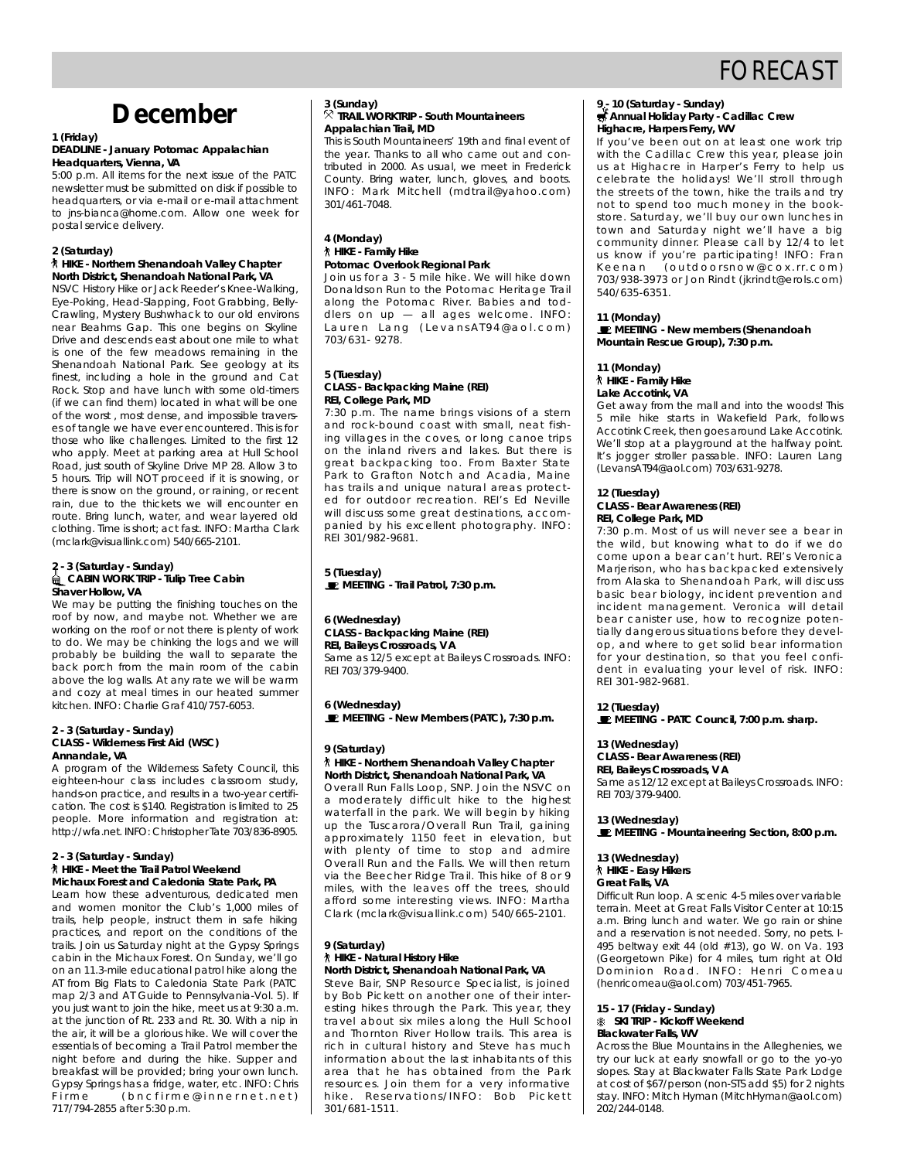## FORECAST

## **December**

#### **1 (Friday) Headquarters, Vienna, VA**

5:00 p.m. All items for the next issue of the PATC newsletter must be submitted on disk if possible to headquarters, or via e-mail or e-mail attachment to ins-bianca@home.com. Allow one week for to jns-bianca@home.com. Alliew one week for postal service delivery.

#### **2 (Saturday) North District, Shenandoah National Park, VA**

**NSVC History Hike or Jack Reeder's Knee-Walking,** Eye-Poking, Head-Slapping, Foot Grabbing, Belly-Crawling, Mystery Bushwhack to our old environs near Beahms Gap. This one begins on Skyline Drive and descends east about one mile to what is one of the few meadows remaining in the shenandoah National Park. See geology at its finest, including a hole in the ground and Cat Rock. Stop and have lunch with some old-timers (if we can find them) located in what will be one of the worst, most dense, and impossible traverses of tangle we have ever encountered. This is for those who like challenges. Limited to the first 12 who apply. Meet at parking area at Hull School Road, just south of Skyline Drive MP 28. Allow 3 to 5 hours. Trip will NOT proceed if it is snowing, or there is snow on the ground, or raining, or recent rain, due to the thickets we will encounter en route. Bring lunch, water, and wear lavered old clothing. Time is short; act fast. INFO: Martha Clark clothing. Time is short; act fast. INFO: Martha Clark  $($ mblark $\sigma$ visuallink.com) 540/666-2101.

### **2 - 3 (Saturday - Sunday) Shaver Hollow, VA**

We may be putting the finishing touches on the roof by now, and maybe not. Whether we are working on the roof or not there is plenty of work to do. We may be chinking the logs and we will probably be building the wall to separate the back porch from the main room of the cabin above the log walls. At any rate we will be warm and cozy at meal times in our heated summer and cozy at meal times in our heated summer kitchen. INFO: Charlie Graf 410/757-6053.

#### **2 - 3 (Saturday - Sunday) Contrast Annandale** VA

A program of the Wilderness Safety Council, this eighteen-hour class includes classroom study, hands-on practice, and results in a two-year certifihands-on practice, and registration is limited to 25 people. More information and registration at: people. More information and registration at: http://wia.not.info: Christopher Tate 703/836-8905.

### **2 - 3 (Saturday - Sunday) Michaux Forest and Caledonia State Park, PA**

**Learn how these adventurous dedicated ment** and women monitor the Club's 1,000 miles of trails, help people, instruct them in safe hiking practices, and report on the conditions of the trails. Join us Saturday night at the Gypsy Springs cabin in the Michaux Forest. On Sunday, we'll go on an 11.3-mile educational patrol hike along the AT from Big Flats to Caledonia State Park (PATC map 2/3 and AT Guide to Pennsylvania Vol. 5). If you just want to join the hike, meet us at 9:30 a.m. at the junction of Rt. 233 and Rt. 30. With a nip in the air, it will be a glorious hike. We will cover the essentials of becoming a Trail Patrol member the night before and during the hike. Supper and breakfast will be provided; bring your own lunch. Gypsy Springs has a fridge, water, etc. INFO: Chris Firme (bncfirme@innernet.net) F i r m e ( b n c f i m e c f i n e r n e t i n e t )<br>717/704 2055 after 5:20 p m  $7177772288$  after 5:30 p.m.

#### **3 (Sunday)**<br><sup>父</sup> TRAIL WORKTRIP - South Mountaineers **Appalachian Trail, MD**

This is South Mountaineers' 19th and final event of the year. Thanks to all who came out and contributed in 2000. As usual, we meet in Frederick County. Bring water, lunch, gloves, and boots. County. Bring water, lunch, gloves, and boots. Info: Main Mitchell (mahaloyahoo.com)<br>2017/441 7049 301/461-7048.

### **4 (Monday) Potomac Overlook Regional Park**

Join us for a 3 - 5 mile hike. We will hike down Donaldson Run to the Potomac Heritage Trail along the Potomac River. Babies and toddlers on  $up - all$  ages welcome. INFO: diers on up — all ages welcome. Info:<br>Lauren Lang (Levans (I04@ael.com) La aron Lang (Loranon: 719 aonoom)<br>702/621 0270 703/631- 9278.

### **5 (Tuesday) REI, College Park, MD**

7:30 p.m. The name brings visions of a stern and rock-bound coast with small, neat fishing villages in the coves, or long canoe trips on the inland rivers and lakes. But there is great backpacking too. From Baxter State Park to Grafton Notch and Acadia, Maine has trails and unique natural areas protected for outdoor recreation. REI's Ed Neville will discuss some great destinations, accompanied by his excellent photography. INFO: panied by his excellent photography. INFO:

**5** (Tuesday) **MEETING - Trail Patrol, 7:30 p.m.**

#### **6 (Wednesday) REI, Baileys Crossroads, VA** Same as 12/5 except at Baileys Crossroads, INFO: RFI 703/379-9400 REI 703/377-7100.

**E** MEETING A **MEETING - New Members (PATC), 7:30 p.m.**

### **9 (Saturday) North District, Shenandoah National Park, VA**

Overall Run Falls Loop, SNP. Join the NSVC on a moderately difficult hike to the highest waterfall in the park. We will begin by hiking up the Tuscarora/Overall Run Trail, gaining approximately 1150 feet in elevation, but with plenty of time to stop and admire Overall Run and the Falls. We will then return via the Beecher Ridge Trail. This hike of 8 or 9 miles, with the leaves off the trees, should afford some interesting views. INFO: Martha andra some interesting views. Information<br>Clark (molark@visuallink.com) 540/665-2101 Clark (mclark production integrity 540/666-2101.

## **9 (Saturday)**

#### **North District, Shenandoah National Park, VA**

Steve Bair, SNP Resource Specialist, is joined by Bob Pickett on another one of their interesting hikes through the Park. This year, they travel about six miles along the Hull School and Thornton River Hollow trails. This area is rich in cultural history and Steve has much information about the last inhabitants of this area that he has obtained from the Park resources. Join them for a very informative ressanses. Som mom for a very informative h i k e roson van onder in se rosodere tiden bestemmen.<br>2017/401-1511 3 0 *1 1 0 8 1 1 0 1 1 1*  $\frac{1}{2}$ 

#### **9 - 10 (Saturday - Sunday) Annual Holiday Party - Cadillac Crew**

If you've been out on at least one work trip with the Cadillac Crew this year, please join us at Highacre in Harper's Ferry to help us celebrate the holidays! We'll stroll through the streets of the town, hike the trails and try not to spend too much money in the bookstore. Saturday, we'll buy our own lunches in town and Saturday night we'll have a big community dinner. Please call by 12/4 to let us know if you're participating! INFO: Fran Keenan (outdoorsnow@cox.rr.com) K e e na n ''' ( o a t a o o r s n o w o o o x . r r r o o m )<br>702/028-2072 er . len Dindt (ikrindt@erels.com) 7 387 788 8778 81 381 1111 at (jitti tat o storbosti)<br>E 10/62E 62E1 540/635-6351.

**11 (Monday) MEETING - New members (Shenandoah Mountain Rescue Group), 7:30 p.m.**

#### **11 (Monday) Hake Accotink VA**

Get away from the mall and into the woods! This 5 mile hike starts in Wakefield Park, follows Accotink Creek, then goes around Lake Accotink. We'll stop at a playground at the halfway point. It's jogger stroller passable. INFO: Lauren Lang It s jogger stroller passable. INFO: Lauren Lang  $($ Levans $T$ ,  $T$ ,  $T$  additionity  $T$ ,  $\frac{1}{2}$  of  $\frac{1}{2}$ 

#### **12 (Tuesday) REI, College Park, MD**

7:30 p.m. Most of us will never see a bear in the wild, but knowing what to do if we do come upon a bear can't hurt. REI's Veronica Marjerison, who has backpacked extensively from Alaska to Shenandoah Park, will discuss basic bear biology, incident prevention and incident management. Veronica will detail bear canister use, how to recognize potentially dangerous situations before they develop, and where to get solid bear information for your destination, so that you feel confifor your destination, so that you feel confirm dent in evaluating your level of risk. INFO:

**12** (Tuesday) **MEETING - PATC Council, 7:00 p.m. sharp.**

## **13 (Wednesday)**

**REI, Baileys Crossroads, VA REI, Baileys Crossroads, V A** Same as 12/12 except at Baileys Crossroads. Introd.<br>DEI 702/270 0400 REI 703/379-7100.

#### **13 (WEDNESDAY) MEETING - Mountaineering Section, 8:00 p.m.**

**13 (Wednesday) Great Falls**, VA

Difficult Run loop. A scenic 4-5 miles over variable terrain. Meet at Great Falls Visitor Center at 10:15 a.m. Bring lunch and water. We go rain or shine and a reservation is not needed. Sorry, no pets. I-495 beltway exit 44 (old #13), go W. on Va. 193 (Georgetown Pike) for 4 miles, turn right at Old Dominion Road. INFO: Henri Comeau D om non Road. I'm of Home Somedia  $(101110011004494010011)$  703/451-7706.

#### **15 - 17 (Friday - Sunday) Blackwater Falls, WV**

Across the Blue Mountains in the Alleghenies, we try our luck at early snowfall or go to the yo-yo slopes. Stay at Blackwater Falls State Park Lodge at cost of \$67/person (non-STS add \$5) for 2 nights at cost of \$677 person (non-site dad \$5) for 2 nights<br>stay, INEO: Mitch Hyman (MitchHyman@aol.com) stay. Info: Mitch Hyman (Mitchingman@aol.com)<br>202/211 0110  $202/211$  of 101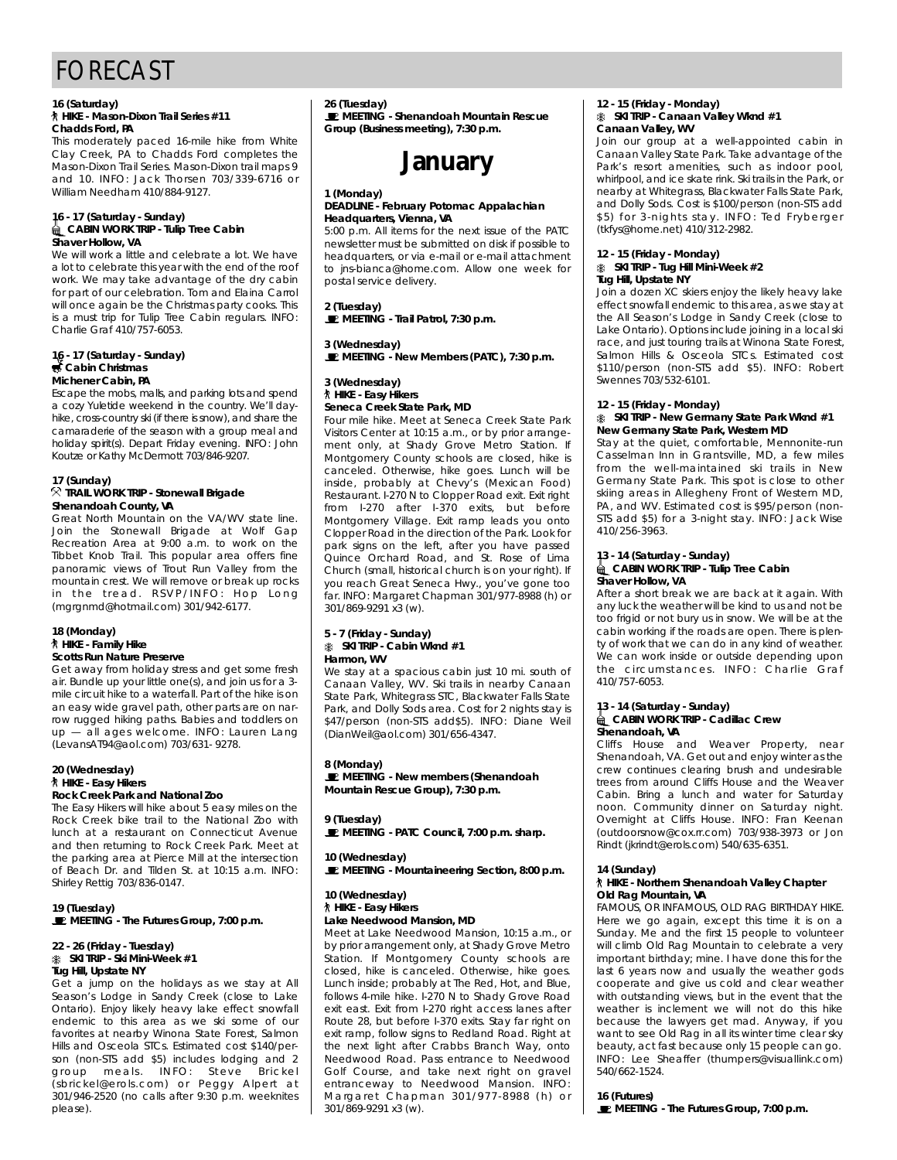## FORECAST

#### **16 (Saturday) Chadds Ford, PA**

This moderately paced 16-mile hike from White Clay Creek, PA to Chadds Ford completes the Mason-Dixon Trail Series. Mason-Dixon trail maps 9 and 10. INFO: Jack Thorsen  $703/339-6716$  or and 10. INFO: Saok Morson 703/337-6716 or

#### 16 - 17 (Saturday - Sunday)<br>*a* CABIN WORK TRIP - Tulip Tree Cabin **Shaver Hollow, VA**

We will work a little and celebrate a lot. We have a lot to celebrate this year with the end of the roof work. We may take advantage of the dry cabin for part of our celebration. Tom and Elaina Carrol will once again be the Christmas party cooks. This is a must trip for Tulip Tree Cabin regulars. INFO: is a mast trip for Tulip free Sabin regulars. Info:<br>Chorlie Cref 110/757 4059 Charlie Graf *410/757-6055*.

#### **16 - 17 (Saturday - Sunday) Michener Cabin, PA**

Escape the mobs, malls, and parking lots and spend a cozy Yuletide weekend in the country. We'll dayhike, cross-country ski (if there is snow), and share the camaraderie of the season with a group meal and holiday spirit(s). Depart Friday evening. INFO: John holiday spirit(s). Depart Friday evening. Info: Senin<br>Koutzo or Kathy McDormott 702/946-0207 Koutze or Kathy McDermott 703/846-7207.

**17 (Sunday) TRAIL MORK TRIP CONCIDER BRIGAGE Shenandoah County, VA**<br>Great North Mountain on the VA/WV state line.

Join the Stonewall Brigade at Wolf Gap Recreation Area at 9:00 a.m. to work on the Tibbet Knob Trail. This popular area offers fine panoramic views of Trout Run Valley from the mountain crest. We will remove or break up rocks in the tread. RSVP/INFO: Hop Long in the treath next him of hop Long  $(mg, g, m, \alpha, \beta)$ .com all  $\beta$  of  $m$   $\beta$  is  $\beta$  if  $\beta$ 

#### **18 (Monday) Scotts Run Nature Preserve**

Get away from holiday stress and get some fresh air. Bundle up your little one(s), and join us for a  $3$ mile circuit hike to a waterfall. Part of the hike is on an easy wide gravel path, other parts are on narrow rugged hiking paths. Babies and toddlers on  $up - \overline{all}$  ages welcome. INFO: Lauren Lang up — all ages welcome. Info: Lauren Lang  $($ Levans  $\overline{a}$  ,  $\overline{b}$  aol.com) 703/631- 7278.

## **20 (Wednesday)**

#### **Rock Creek Park and National Zoo**

The Easy Hikers will hike about 5 easy miles on the Rock Creek bike trail to the National Zoo with lunch at a restaurant on Connecticut Avenue and then returning to Rock Creek Park. Meet at the parking area at Pierce Mill at the intersection of Beach Dr. and Tilden St. at 10:15 a.m. INFO: of Beach Br. and Tilden on at 19115 a.m. into .<br>Shirloy Pottig 702/926 0147 Shirley Rettig 703/836-0147.

**19 (Tuesday) MEETING - The Futures Group, 7:00 p.m.**

### **22 - 26 (Friday - Tuesday) Tug Hill, Upstate NY**

Get a jump on the holidays as we stay at All Season's Lodge in Sandy Creek (close to Lake Ontario). Enjoy likely heavy lake effect snowfall endemic to this area as we ski some of our favorites at nearby Winona State Forest, Salmon Hills and Osceola STCs. Estimated cost \$140/person (non-STS add \$5) includes lodging and 2 group meals. INFO: Steve Brickel g ro up m e a ls . IN FO : St ev e Br ic ke l ( soften b c rolls.com) or Peggy Alpert at 301/946-2520 (no calls after 9:30 p.m. weeknites please).

**26 (Tuesday) MEETING - Shenandoah Mountain Rescue Group (Business meeting), 7:30 p.m.**

## **January**

#### **1 (Monday) Headquarters, Vienna, VA**

5:00 p.m. All items for the next issue of the PATC newsletter must be submitted on disk if possible to headquarters, or via e-mail or e-mail attachment to ins-bianca@home.com. Allow one week for to jns-bianca@home.com. Allient one mook for postal service delivery.

**2** (Tuesday)<br>**■** MEETING **MEETING - Trail Patrol, 7:30 p.m.**

**■** MEETING N **MEETING - New Members (PATC), 7:30 p.m.**

#### **3 (Wednesday) Seneca Creek State Park, MD**

#### Four mile hike. Meet at Seneca Creek State Park Visitors Center at 10:15 a.m., or by prior arrangement only, at Shady Grove Metro Station. If Montgomery County schools are closed, hike is canceled. Otherwise, hike goes. Lunch will be inside, probably at Chevy's (Mexican Food) Restaurant. I-270 N to Clopper Road exit. Exit right from I-270 after I-370 exits, but before Montgomery Village. Exit ramp leads you onto Clopper Road in the direction of the Park. Look for park signs on the left, after you have passed Quince Orchard Road, and St. Rose of Lima Church (small, historical church is on your right). If you reach Great Seneca Hwy., you've gone too you.<br>Tar. INFO: Margaret Chapman 301/977-8988 (h) or  $301/869 - 9291 \times 3$  (w).

#### **5 - 7 (Friday - Sunday) Harmon**, WV

 $301/301/121/30$ 

We stay at a spacious cabin just 10 mi. south of Canaan Valley, WV. Ski trails in nearby Canaan State Park, Whitegrass STC, Blackwater Falls State Park, and Dolly Sods area. Cost for 2 nights stay is \$47/person (non-STS add\$5). INFO: Diane Weil \$47/person (non-STS add\$5). INFO: Diane Weil  $\sum_{i=1}^{n}$ 

8 (Monday)<br>**E** MEETING - New members (Shenandoah **MEETING - New members (Shenandoah Mountain Rescue Group), 7:30 p.m.**

**9 (Tuesday) MEETING - PATC Council, 7:00 p.m. sharp.**

**10 (Wednesday) MEETING - Mountaineering Section, 8:00 p.m.**

## **10 (Wednesday)**

#### **Lake Needwood Mansion, MD** Meet at Lake Needwood Mansion, 10:15 a.m. or

by prior arrangement only, at Shady Grove Metro Station. If Montgomery County schools are closed, hike is canceled. Otherwise, hike goes. Lunch inside; probably at The Red, Hot, and Blue, follows 4-mile hike. I-270 N to Shady Grove Road exit east. Exit from I-270 right access lanes after Route 28, but before I-370 exits. Stay far right on exit ramp, follow signs to Redland Road. Right at the next light after Crabbs Branch Way, onto Needwood Road. Pass entrance to Needwood Golf Course, and take next right on gravel entranceway to Needwood Mansion. INFO: entranceway to necessod mansion. Info:<br>Margaret Chapman 201/077-0000 (b) er margarot Ghapman 30 1777-8738 (n) or<br>2017-04 9201 v2 (w) 301/869-9291 x3 (w).

#### **12 - 15 (Friday - Monday)** Canaan Valley, WV

Join our group at a well-appointed cabin in Canaan Valley State Park. Take advantage of the Park's resort amenities, such as indoor pool, whirlpool, and ice skate rink. Ski trails in the Park, or nearby at Whitegrass, Blackwater Falls State Park, and Dolly Sods. Cost is \$100/person (non-STS add \$5) for 3-nights stay. INFO: Ted Fryberger  $(t$  f k f vs@home.net)  $410/312-2982$ .  $(m, p, o)$  homomory  $n, o$  is the  $p, o$ 

### **12 - 15 (Friday - Monday) Tug Hill, Upstate NY**

Join a dozen XC skiers enjoy the likely heavy lake effect snowfall endemic to this area, as we stay at the All Season's Lodge in Sandy Creek (close to Lake Ontario). Options include joining in a local ski race, and just touring trails at Winona State Forest, Salmon Hills & Osceola STCs. Estimated cost \$110/person (non-STS add \$5). INFO: Robert \$110/person (non-STS add \$5). INFO: Robert

#### **12 - 15 (Friday - Monday) New Germany State Park, Western MD**

Stay at the quiet, comfortable, Mennonite-run Casselman Inn in Grantsville, MD, a few miles from the well-maintained ski trails in New Germany State Park. This spot is close to other skiing areas in Allegheny Front of Western MD, PA, and WV. Estimated cost is \$95/person (non-STS add \$5) for a 3-night stay. INFO: Jack Wise sto dad \$6) for a 3-night stay. Info: 3don Misc<br>110/256 2062  $110, 200, 3100,$ 

#### 13 - 14 (Saturday - Sunday)<br>*a* CABIN WORK TRIP - Tulip Tree Cabin **CABIN WORK TRIP Shaver Hollow, VA**

After a short break we are back at it again. With any luck the weather will be kind to us and not be too frigid or not bury us in snow. We will be at the cabin working if the roads are open. There is plenty of work that we can do in any kind of weather. We can work inside or outside depending upon we can wom inside or outside depending upon the chealifications. Info : charlie craft<br>410/757-6052 410/757-6053.

#### **13 - 14 (Saturday - Sunday)** Shenandoah, VA

Cliffs House and Weaver Property, near Shenandoah, VA. Get out and enjoy winter as the crew continues clearing brush and undesirable trees from around Cliffs House and the Weaver Cabin. Bring a lunch and water for Saturday noon. Community dinner on Saturday night. Overnight at Cliffs House. INFO: Fran Keenan (outdoorsnow@cox.rr.com) 703/938-3973 or Jon (outdoorsnow@commooni) 703/938-3718 or Son<br>Dindt (ikrindt@orok.com) 540/625-6251 Rindt (jkrindt@erols.com) 540/635-6351.

#### **14 (Sunday) Old Rag Mountain, VA**

FAMOUS, OR INFAMOUS, OLD RAG BIRTHDAY HIKE. Here we go again, except this time it is on a Sunday. Me and the first 15 people to volunteer will climb Old Rag Mountain to celebrate a very important birthday; mine. I have done this for the last 6 years now and usually the weather gods cooperate and give us cold and clear weather with outstanding views, but in the event that the weather is inclement we will not do this hike because the lawyers get mad. Anyway, if you want to see Old Rag in all its winter time clear sky beauty, act fast because only 15 people can go.  $I$ NFO: Lee Sheaffer (thumpers@visuallink.com) INFO: Lee Sheaffer (thumperse nisuallinineerin)<br>E40/662 1E24  $540, 552, 152, 11$ 

**16 (Futures) MEETING - The Futures Group, 7:00 p.m.**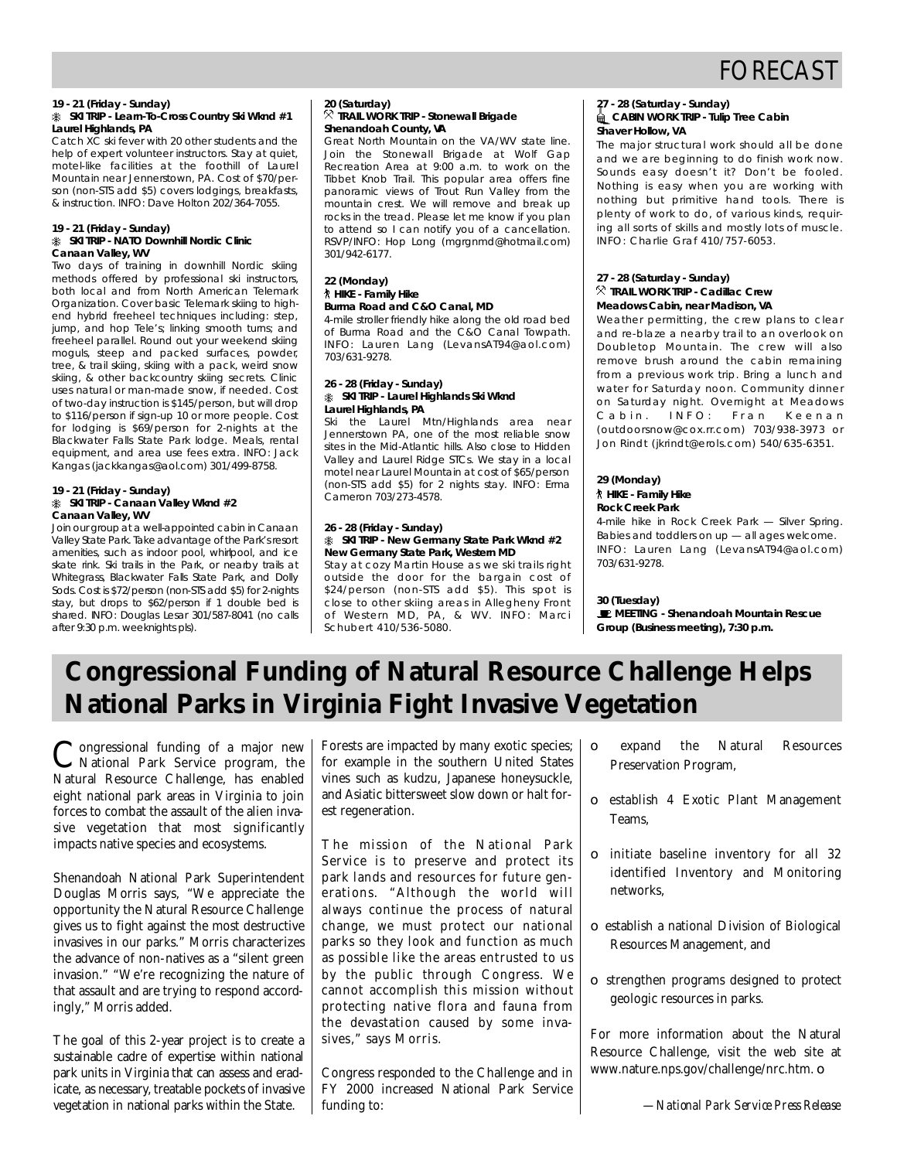## FORECAST

### **19 - 21 (Friday - Sunday) Laurel Highlands, PA**

Catch XC ski fever with 20 other students and the help of expert volunteer instructors. Stay at quiet, motel-like facilities at the foothill of Laurel Mountain near Jennerstown, PA. Cost of \$70/person (non-STS add \$5) covers lodgings, breakfasts, son (non-ste dad \$6) covers lodgings, breakfasts, & instruction. INFO: Dave Holton 202/364-7055.

## **19 - 21 (Friday - Sunday)**

## **Canaan Valley, WV**

Two days of training in downhill Nordic skiing methods offered by professional ski instructors, both local and from North American Telemark Organization. Cover basic Telemark skiing to highend hybrid freeheel techniques including: step, jump, and hop Tele's; linking smooth turns; and freeheel parallel. Round out your weekend skiing moguls, steep and packed surfaces, powder, tree, & trail skiing, skiing with a pack, weird snow skiing, & other backcountry skiing secrets. Clinic uses natural or man-made snow, if needed. Cost of two-day instruction is \$145/person, but will drop to \$116/person if sign-up 10 or more people. Cost for lodging is \$69/person for 2-nights at the Blackwater Falls State Park lodge. Meals, rental equipment, and area use fees extra. INFO: Jack equipment, and area ase fees extra. In the sack Kangas (jaon.comgas@aol.com) 301/499-8758.

#### **19 - 21 (Friday - Sunday) Canaan Valley, WV**

Join our group at a well-appointed cabin in Canaan Valley State Park. Take advantage of the Park's resort amenities, such as indoor pool, whirlpool, and ice skate rink. Ski trails in the Park, or nearby trails at Whitegrass, Blackwater Falls State Park, and Dolly Sods. Cost is \$72/person (non-STS add \$5) for 2-nights stay, but drops to \$62/person if 1 double bed is shared. INFO: Douglas Lesar 301/587-8041 (no calls s harbar in it of Boaglas Losar 301/587-8041 (no calls<br>after 0:20 n m Mookhights hk) after 9:30 p.m. weeknights pls).

#### 20 (Saturday)<br><sup>父</sup> TRAIL WORK TRIP - Stonewall Brigade **Shenandoah County, VA**

Great North Mountain on the VA/WV state line. Join the Stonewall Brigade at Wolf Gap Recreation Area at 9:00 a.m. to work on the Tibbet Knob Trail. This popular area offers fine panoramic views of Trout Run Valley from the mountain crest. We will remove and break up rocks in the tread. Please let me know if you plan to attend so I can notify you of a cancellation. to attend so I can notify you of a cancellation.<br>DCVD/INEO: Hop Long (marapmd@botmail.com) RSVP/INFO: Hop Long (mgrgmmd@hotmail.com)  $301/712$ 

#### **22 (Monday) Burma Road and C&O Canal, MD**

4-mile stroller friendly hike along the old road bed of Burma Road and the C&O Canal Towpath. INFO: Lauren Lang (LevansAT94@aol.com)  $703/631 - 9278$  $703,001,2270$ 

#### **26 - 28 (Friday - Sunday) Laurel Highlands, PA**

Ski the Laurel Mtn/Highlands area near Jennerstown PA one of the most reliable snow sites in the Mid-Atlantic hills. Also close to Hidden Valley and Laurel Ridge STCs. We stay in a local motel near Laurel Mountain at cost of \$65/person moter near Educe Mountain at cost of \$65/person<br>(pop STS add \$6) for 2 pigbts stay INEO: Erma  $($ non-sto-ddd  $*$ o $/$  for 2 nights stay. Infor-Erma Campion 703/273-4578.

#### **26 - 28 (Friday - Sunday) New Germany State Park, Western MD**

Stay at cozy Martin House as we ski trails right outside the door for the bargain cost of \$24/person (non-STS add \$5). This spot is close to other skiing areas in Allegheny Front of Western MD, PA, & WV. INFO: Marci of Western MD, PA, & WW. INFO: March<br>Sobubert 110/526 5000 Schubert 410/536-5080.

### **27 - 28 (Saturday - Sunday) Shaver Hollow, VA**

The major structural work should all be done and we are beginning to do finish work now. Sounds easy doesn't it? Don't be fooled. Nothing is easy when you are working with nothing but primitive hand tools. There is plenty of work to do, of various kinds, requiring all sorts of skills and mostly lots of muscle.  $INEO:$  Charlie Graf 410/757-6053.  $\sum_{i=1}^{n}$ 

### **27 - 28 (Saturday - Sunday) Meadows Cabin, near Madison, VA**

Weather permitting, the crew plans to clear and re-blaze a nearby trail to an overlook on Doubletop Mountain. The crew will also remove brush around the cabin remaining. from a previous work trip. Bring a lunch and water for Saturday noon. Community dinner on Saturday night. Overnight at Meadows Cabin. INFO: Fran Keenan (outdoorsnow@cox.rr.com) 703/938-3973 or  $($  out do order to both models,  $($   $)$   $\overline{a}$   $\overline{b}$   $\overline{c}$   $\overline{a}$   $\overline{c}$   $\overline{a}$   $\overline{c}$   $\overline{a}$   $\overline{c}$   $\overline{a}$   $\overline{c}$   $\overline{a}$   $\overline{c}$   $\overline{a}$   $\overline{c}$   $\overline{a}$   $\overline{c}$   $\overline{a}$   $\overline{c}$   $\overline{a}$  Jon Rindt (jkrindt@erols.com) 540/635-6351.

## **29 (Monday)**

#### **Rock Creek Park**

4-mile hike in Rock Creek Park - Silver Spring. Babies and toddlers on  $up$   $-$  all ages welcome. Babies and toddlers on up — all ages welcome. Info: Lauren Lang (Levans Miriedeneem)

#### 30 (Tuesday)

**E** MEETING - Shenandoah Mountain Rescue **MEETING - Shenandoah Mountain Rescue Group (Business meeting), 7:30 p.m.**

## **Congressional Funding of Natural Resource Challenge Helps National Parks in Virginia Fight Invasive Vegetation**

Congressional funding of a major new ongressional funding of a major new Natural Resource Challenge, has enabled eight national park areas in Virginia to join forces to combat the assault of the alien invasive vegetation that most significantly impacts native species and ecosystems.

Shenandoah National Park Superintendent Douglas Morris says, "We appreciate the opportunity the Natural Resource Challenge gives us to fight against the most destructive invasives in our parks." Morris characterizes the advance of non-natives as a "silent green invasion." "We're recognizing the nature of that assault and are trying to respond accordingly," Morris added.

The goal of this 2-year project is to create a sustainable cadre of expertise within national park units in Virginia that can assess and eradicate, as necessary, treatable pockets of invasive vegetation in national parks within the State.

Forests are impacted by many exotic species; for example in the southern United States vines such as kudzu, Japanese honeysuckle, and Asiatic bittersweet slow down or halt forest regeneration.

The mission of the National Park Service is to preserve and protect its park lands and resources for future generations. "Although the world will always continue the process of natural change, we must protect our national parks so they look and function as much as possible like the areas entrusted to us by the public through Congress. We cannot accomplish this mission without protecting native flora and fauna from the devastation caused by some invasives," says Morris.

Congress responded to the Challenge and in FY 2000 increased National Park Service funding to:

- expand the Natural Resources Preservation Program,
- ❏ establish 4 Exotic Plant Management Teams,
- ❏ initiate baseline inventory for all 32 identified Inventory and Monitoring networks,
- ❏ establish a national Division of Biological Resources Management, and
- ❏ strengthen programs designed to protect geologic resources in parks.

For more information about the Natural Resource Challenge, visit the web site at www.nature.nps.gov/challenge/nrc.htm. ❏

*—National Park Service Press Release*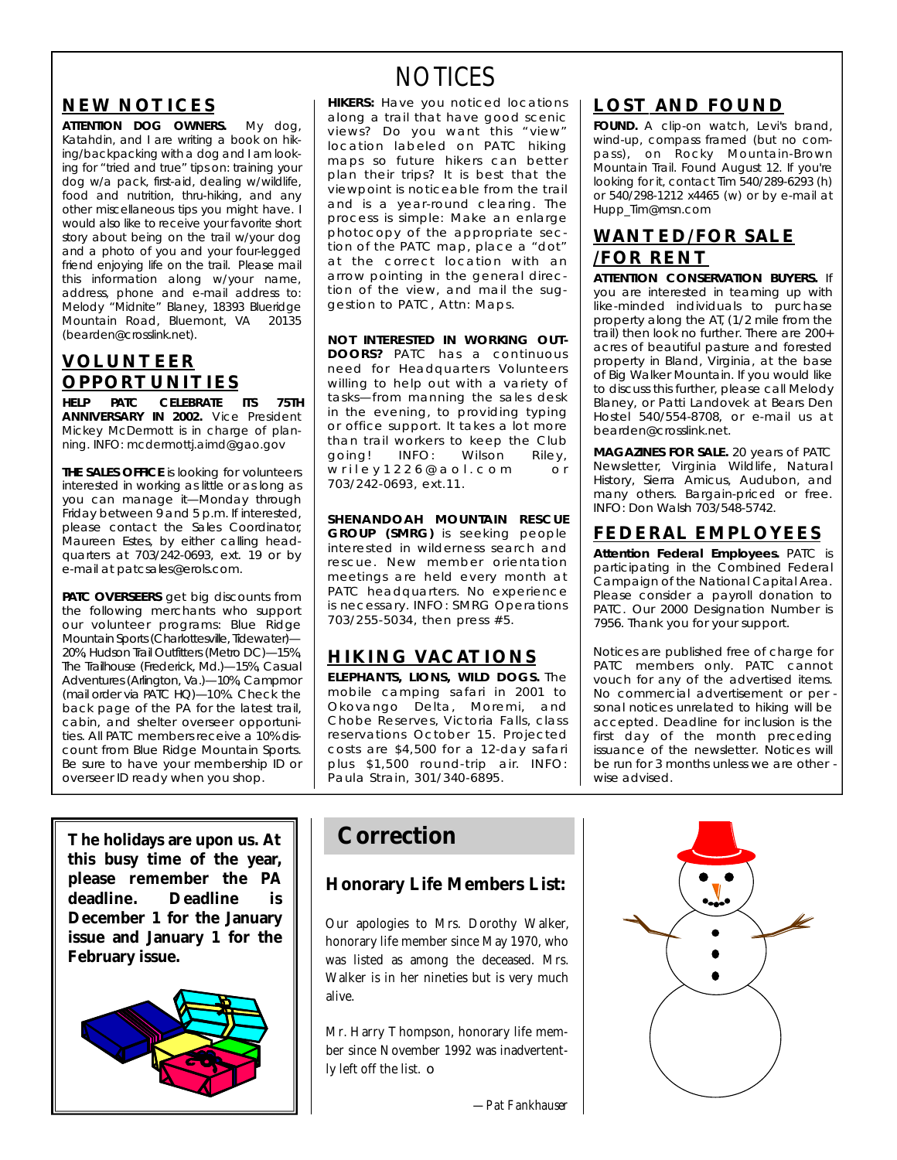### **NEW NOTICES**

**ATTENTION DOG OWNERS.** My dog,<br>Katahdin, and I are writing a book on hiking/backpacking with a dog and I am looking for "tried and true" tips on: training your dog w/a pack, first-aid, dealing w/wildlife, food and nutrition, thru-hiking, and any other miscellaneous tips you might have. I would also like to receive your favorite short story about being on the trail w/your dog and a photo of you and your four-legged friend enjoying life on the trail. Please mail this information along w/your name, address, phone and e-mail address to: Melody "Midnite" Blaney, 18393 Blueridge Mountain Road, Bluemont, VA 20135 Mountain Road, Bluemont, VA 20136  $\sim$  c and extended by containing  $\sim$ 

### **V O L U N T E E R O P P O RT U N I T I E S**

**HELP PATC CELEBRATE ITS 75TH** Mickey McDermott is in charge of planmishey medermott is in charge of plan-<br>Dina-INEO: medermotti aimd@aao.aov ning. INFO: mcdermottj.aimd@gao.gov

**THE SALES OFFICE** is looking for volunteers interested in working as little or as long as you can manage it-Monday through Friday between  $9$  and  $5$  p.m. If interested, please contact the Sales Coordinator. Maureen Estes, by either calling headquarters at 703/242-0693, ext. 19 or by e-mail at patcsales@erols.com. e-mail at patesales@erols.com.

**PATC OVERSEERS** get big discounts from the following merchants who support our volunteer programs: Blue Ridge Mountain Sports (Charlottesville, Tidewater)-20%, Hudson Trail Outfitters (Metro DC)-15%, The Trailhouse (Frederick, Md.)-15%, Casual Adventures (Arlington, Va.)—10%, Campmor (mail order via PATC HQ)-10%. Check the back page of the PA for the latest trail. cabin, and shelter overseer opportunities. All PATC members receive a 10% discount from Blue Ridge Mountain Sports. Be sure to have your membership ID or Be sure to have your membership ID or overseer ID ready when you shop.

**The holidays are upon us. At this busy time of the year, please remember the** *PA* **deadline. Deadline is December 1 for the January issue and January 1 for the February issue.**



## NOTICES

**HIKERS:** Have you noticed locations along a trail that have good scenic along a trail that have good scenic<br>views? Do you want this "view" views: Do you want this "view"<br>location labeled on PATC biking maps so future hikers can better plan their trips? It is best that the viewpoint is noticeable from the trail and is a year-round clearing. The process is simple: Make an enlarge photocopy of the appropriate section of the PATC map, place a "dot" at the correct location with an arrow pointing in the general direction of the view, and mail the sugtion of the tion, and mail the sug-<br>destion to PATC Attn: Mans gestion to *PATC*, Attn: Maps.

**NOT INTERESTED IN WORKING OUT-<br>DOORS?** PATC has a continuous need for Headquarters Volunteers willing to help out with a variety of tasks-from manning the sales desk in the evening, to providing typing or office support. It takes a lot more or office support. It takes a lot more<br>than trail workers to keen the Club than trail workers to keep the Club<br>appeal INEO: Wilson Dilov going! INFO: Wilson Riley,<br>wriley1226@aol.com or w r i r c y r z z c o do r c o m o r o r<br>703/242 0693 o x t 11  $703/21203/07$ , ext.11.

**SHENANDOAH MOUNTAIN RESCUE**<br>**GROUP (SMRG)** is seeking people interested in wilderness search and rescue. New member orientation meetings are held every month at PATC headquarters. No experience is necessary. INFO: SMRG Operations is necessary. INFO: SMRG Operations  $7007200$   $0001$ , then press  $\#$   $\bullet$ .

### **HIKING VACATIONS**

**ELEPHANTS, LIONS, WILD DOGS.** The mobile camping safari in 2001 to Okovango Delta, Moremi, and Chobe Reserves, Victoria Falls, class reservations October 15. Projected costs are \$4,500 for a 12-day safari plus \$1,500 round-trip air. INFO: paula Strain, 301/340-6895.  $P$ aula Strain, 301/340-6895.

### **LOST AND FOUND**

**FOUND.** A clip-on watch, Levi's brand, wind-up, compass framed (but no compass), on Rocky Mountain-Brown pass), on the stage mountain-Bro w nound<br>Mountain-Brail. Found August 12. If you're<br>Jooking for it, contact Tim 540/289,6293. (b) looking for it, contact Tim 540/289-6293 (h)<br>or 540/298-1212 x4465 (w) or by e-mail at or 540/2754212 x4465 (w) or by e-mail at  $H = \frac{1}{2}$ 

### **WANTED/FOR SALE /FOR RENT**

**ATTENTION CONSERVATION BUYERS.** If you are interested in teaming up with like-minded individuals to purchase property along the AT, (1/2 mile from the trail) then look no further. There are  $200+$ acres of beautiful pasture and forested property in Bland, Virginia, at the base of Big Walker Mountain. If you would like to discuss this further, please call Melody Blaney, or Patti Landovek at Bears Den Hostel 540/554-8708, or e-mail us at bearden@crosslink.net.

MAGAZINES FOR SALE. 20 years of PATC Newsletter, Virginia Wildlife, Natural History, Sierra Amicus, Audubon, and many others. Bargain-priced or free. many others. Bargain-priced or free.<br>INEO: Don Walsh 703/548-5742 INFO: DON MAISH 703/548-5742.

### **F E D E R A L E M P L O Y E E S**

**Attention Federal Employees.** PATC is Campaign of the National Capital Area. Please consider a payroll donation to PATC. Our 2000 Designation Number is PATC. Our 2000 Designation Number is 7956. Thank you for your support.

*Notices are published free of charge for* vouch for any of the advertised items. No commercial advertisement or per sonal notices unrelated to hiking will be accepted. Deadline for inclusion is the first day of the month preceding *issuance of the newsletter. Notices will* be run for 3 months unless we are other  $\cdot$ wise advised. *wise advised.*

## **Correction**

### **Honorary Life Members List:**

Our apologies to Mrs. Dorothy Walker, honorary life member since May 1970, who was listed as among the deceased. Mrs. Walker is in her nineties but is very much alive.

Mr. Harry Thompson, honorary life member since November 1992 was inadvertently left off the list. ❏

*—Pat Fankhauser*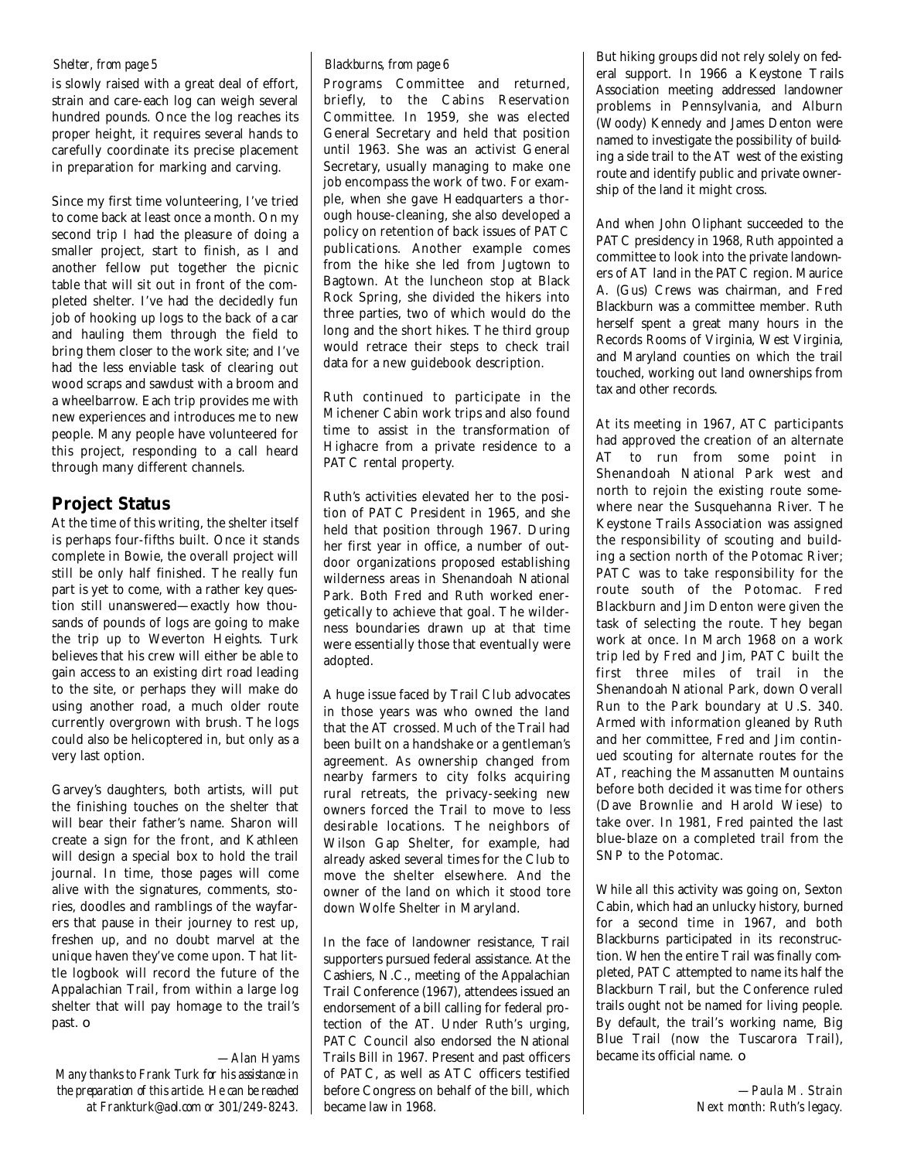#### *Shelter, from page 5*

is slowly raised with a great deal of effort, strain and care-each log can weigh several hundred pounds. Once the log reaches its proper height, it requires several hands to carefully coordinate its precise placement in preparation for marking and carving.

Since my first time volunteering, I've tried to come back at least once a month. On my second trip I had the pleasure of doing a smaller project, start to finish, as I and another fellow put together the picnic table that will sit out in front of the completed shelter. I've had the decidedly fun job of hooking up logs to the back of a car and hauling them through the field to bring them closer to the work site; and I've had the less enviable task of clearing out wood scraps and sawdust with a broom and a wheelbarrow. Each trip provides me with new experiences and introduces me to new people. Many people have volunteered for this project, responding to a call heard through many different channels.

#### **Project Status**

At the time of this writing, the shelter itself is perhaps four-fifths built. Once it stands complete in Bowie, the overall project will still be only half finished. The really fun part is yet to come, with a rather key question still unanswered—exactly how thousands of pounds of logs are going to make the trip up to Weverton Heights. Turk believes that his crew will either be able to gain access to an existing dirt road leading to the site, or perhaps they will make do using another road, a much older route currently overgrown with brush. The logs could also be helicoptered in, but only as a very last option.

Garvey's daughters, both artists, will put the finishing touches on the shelter that will bear their father's name. Sharon will create a sign for the front, and Kathleen will design a special box to hold the trail journal. In time, those pages will come alive with the signatures, comments, stories, doodles and ramblings of the wayfarers that pause in their journey to rest up, freshen up, and no doubt marvel at the unique haven they've come upon. That little logbook will record the future of the Appalachian Trail, from within a large log shelter that will pay homage to the trail's past. ❏

#### *—Alan Hyams*

*Many thanks to Frank Turk for his assistance in the preparation of this article. He can be reached at Frankturk@aol.com or 301/249-8243.*

#### *Blackburns, from page 6*

Programs Committee and returned, briefly, to the Cabins Reservation Committee. In 1959, she was elected General Secretary and held that position until 1963. She was an activist General Secretary, usually managing to make one job encompass the work of two. For example, when she gave Headquarters a thorough house-cleaning, she also developed a policy on retention of back issues of PATC publications. Another example comes from the hike she led from Jugtown to Bagtown. At the luncheon stop at Black Rock Spring, she divided the hikers into three parties, two of which would do the long and the short hikes. The third group would retrace their steps to check trail data for a new guidebook description.

Ruth continued to participate in the Michener Cabin work trips and also found time to assist in the transformation of Highacre from a private residence to a PATC rental property.

Ruth's activities elevated her to the position of PATC President in 1965, and she held that position through 1967. During her first year in office, a number of outdoor organizations proposed establishing wilderness areas in Shenandoah National Park. Both Fred and Ruth worked energetically to achieve that goal. The wilderness boundaries drawn up at that time were essentially those that eventually were adopted.

A huge issue faced by Trail Club advocates in those years was who owned the land that the AT crossed. Much of the Trail had been built on a handshake or a gentleman's agreement. As ownership changed from nearby farmers to city folks acquiring rural retreats, the privacy-seeking new owners forced the Trail to move to less desirable locations. The neighbors of Wilson Gap Shelter, for example, had already asked several times for the Club to move the shelter elsewhere. And the owner of the land on which it stood tore down Wolfe Shelter in Maryland.

In the face of landowner resistance, Trail supporters pursued federal assistance. At the Cashiers, N.C., meeting of the Appalachian Trail Conference (1967), attendees issued an endorsement of a bill calling for federal protection of the AT. Under Ruth's urging, PATC Council also endorsed the National Trails Bill in 1967. Present and past officers of PATC, as well as ATC officers testified before Congress on behalf of the bill, which became law in 1968.

But hiking groups did not rely solely on federal support. In 1966 a Keystone Trails Association meeting addressed landowner p roblems in Pennsylvania, and Alburn (Woody) Kennedy and James Denton were named to investigate the possibility of building a side trail to the AT west of the existing route and identify public and private ownership of the land it might cross.

And when John Oliphant succeeded to the PATC presidency in 1968, Ruth appointed a committee to look into the private landowners of AT land in the PATC region. Maurice A. (Gus) Crews was chairman, and Fred Blackburn was a committee member. Ruth herself spent a great many hours in the Records Rooms of Virginia, West Virginia, and Maryland counties on which the trail touched, working out land ownerships from tax and other records.

At its meeting in 1967, ATC participants had approved the creation of an alternate AT to run from some point in Shenandoah National Park west and north to rejoin the existing route somewhere near the Susquehanna River. The Keystone Trails Association was assigned the responsibility of scouting and building a section north of the Potomac River; PATC was to take responsibility for the route south of the Potomac. Fred Blackburn and Jim Denton were given the task of selecting the route. They began work at once. In March 1968 on a work trip led by Fred and Jim, PATC built the first three miles of trail in the Shenandoah National Park, down Overall Run to the Park boundary at U.S. 340. Armed with information gleaned by Ruth and her committee, Fred and Jim continued scouting for alternate routes for the AT, reaching the Massanutten Mountains before both decided it was time for others (Dave Brownlie and Harold Wiese) to take over. In 1981, Fred painted the last blue-blaze on a completed trail from the SNP to the Potomac.

While all this activity was going on, Sexton Cabin, which had an unlucky history, burned for a second time in 1967, and both Blackburns participated in its reconstruction. When the entire Trail was finally completed, PATC attempted to name its half the Blackburn Trail, but the Conference ruled trails ought not be named for living people. By default, the trail's working name, Big Blue Trail (now the Tuscarora Trail), became its official name. ❏

> *—Paula M. Strain Next month: Ruth's legacy.*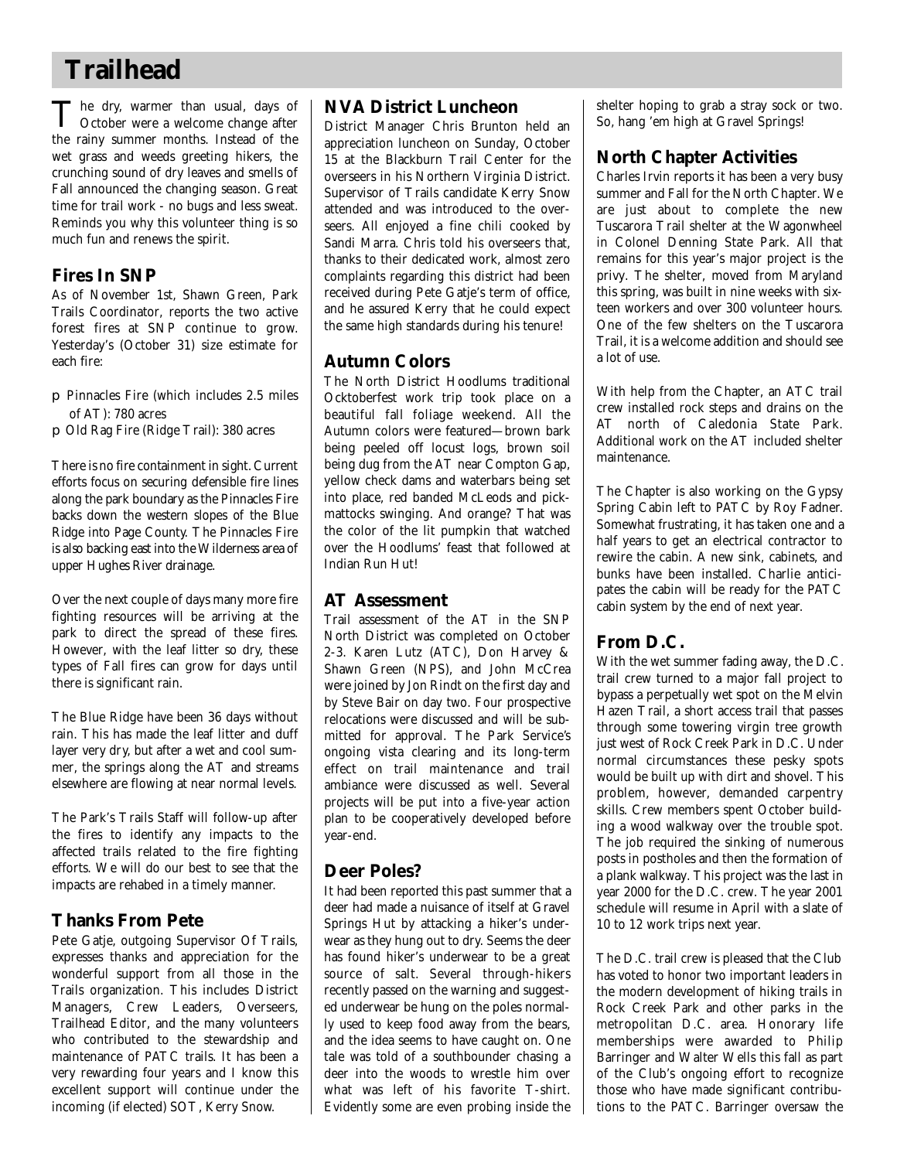## **Trailhead**

The dry, warmer than usual, days of<br>October were a welcome change after The dry, warmer than usual, days of the rainy summer months. Instead of the wet grass and weeds greeting hikers, the crunching sound of dry leaves and smells of Fall announced the changing season. Great time for trail work - no bugs and less sweat. Reminds you why this volunteer thing is so much fun and renews the spirit.

#### **Fires In SNP**

As of November 1st, Shawn Green, Park Trails Coordinator, reports the two active forest fires at SNP continue to grow. Yesterday's (October 31) size estimate for each fire:

- ❐ Pinnacles Fire (which includes 2.5 miles of AT): 780 acres
- ❐ Old Rag Fire (Ridge Trail): 380 acres

There is no fire containment in sight. Current efforts focus on securing defensible fire lines along the park boundary as the Pinnacles Fire backs down the western slopes of the Blue Ridge into Page County. The Pinnacles Fire is also backing east into the Wilderness area of upper Hughes River drainage.

Over the next couple of days many more fire fighting resources will be arriving at the park to direct the spread of these fires. However, with the leaf litter so dry, these types of Fall fires can grow for days until there is significant rain.

The Blue Ridge have been 36 days without rain. This has made the leaf litter and duff layer very dry, but after a wet and cool summer, the springs along the AT and streams elsewhere are flowing at near normal levels.

The Park's Trails Staff will follow-up after the fires to identify any impacts to the affected trails related to the fire fighting efforts. We will do our best to see that the impacts are rehabed in a timely manner.

### **Thanks From Pete**

Pete Gatje, outgoing Supervisor Of Trails, expresses thanks and appreciation for the wonderful support from all those in the Trails organization. This includes District Managers, Crew Leaders, Overseers, Trailhead Editor, and the many volunteers who contributed to the stewardship and maintenance of PATC trails. It has been a very rewarding four years and I know this excellent support will continue under the incoming (if elected) SOT, Kerry Snow.

### **NVA District Luncheon**

District Manager Chris Brunton held an appreciation luncheon on Sunday, October 15 at the Blackburn Trail Center for the overseers in his Northern Virginia District. Supervisor of Trails candidate Kerry Snow attended and was introduced to the overseers. All enjoyed a fine chili cooked by Sandi Marra. Chris told his overseers that, thanks to their dedicated work, almost zero complaints regarding this district had been received during Pete Gatje's term of office, and he assured Kerry that he could expect the same high standards during his tenure!

#### **Autumn Colors**

The North District Hoodlums traditional Ocktoberfest work trip took place on a beautiful fall foliage weekend. All the Autumn colors were featured—brown bark being peeled off locust logs, brown soil being dug from the AT near Compton Gap, yellow check dams and waterbars being set into place, red banded McLeods and pickmattocks swinging. And orange? That was the color of the lit pumpkin that watched over the Hoodlums' feast that followed at Indian Run Hut!

#### **AT Assessment**

Trail assessment of the AT in the SNP North District was completed on October 2-3. Karen Lutz (ATC), Don Harvey & Shawn Green (NPS), and John McCrea were joined by Jon Rindt on the first day and by Steve Bair on day two. Four prospective relocations were discussed and will be submitted for approval. The Park Service's ongoing vista clearing and its long-term e ffect on trail maintenance and trail ambiance were discussed as well. Several projects will be put into a five-year action plan to be cooperatively developed before year-end.

#### **Deer Poles?**

It had been reported this past summer that a deer had made a nuisance of itself at Gravel Springs Hut by attacking a hiker's underwear as they hung out to dry. Seems the deer has found hiker's underwear to be a great source of salt. Several through-hikers recently passed on the warning and suggested underwear be hung on the poles normally used to keep food away from the bears, and the idea seems to have caught on. One tale was told of a southbounder chasing a deer into the woods to wrestle him over what was left of his favorite T-shirt. Evidently some are even probing inside the shelter hoping to grab a stray sock or two. So, hang 'em high at Gravel Springs!

### **North Chapter Activities**

Charles Irvin reports it has been a very busy summer and Fall for the North Chapter. We are just about to complete the new Tuscarora Trail shelter at the Wagonwheel in Colonel Denning State Park. All that remains for this year's major project is the privy. The shelter, moved from Maryland this spring, was built in nine weeks with sixteen workers and over 300 volunteer hours. One of the few shelters on the Tuscarora Trail, it is a welcome addition and should see a lot of use.

With help from the Chapter, an ATC trail crew installed rock steps and drains on the AT north of Caledonia State Park. Additional work on the AT included shelter maintenance.

The Chapter is also working on the Gypsy Spring Cabin left to PATC by Roy Fadner. Somewhat frustrating, it has taken one and a half years to get an electrical contractor to rewire the cabin. A new sink, cabinets, and bunks have been installed. Charlie anticipates the cabin will be ready for the PATC cabin system by the end of next year.

### **From D.C.**

With the wet summer fading away, the D.C. trail crew turned to a major fall project to bypass a perpetually wet spot on the Melvin Hazen Trail, a short access trail that passes through some towering virgin tree growth just west of Rock Creek Park in D.C. Under normal circumstances these pesky spots would be built up with dirt and shovel. This p roblem, however, demanded carpentry skills. Crew members spent October building a wood walkway over the trouble spot. The job required the sinking of numerous posts in postholes and then the formation of a plank walkway. This project was the last in year 2000 for the D.C. crew. The year 2001 schedule will resume in April with a slate of 10 to 12 work trips next year.

The D.C. trail crew is pleased that the Club has voted to honor two important leaders in the modern development of hiking trails in Rock Creek Park and other parks in the metropolitan D.C. area. Honorary life memberships were awarded to Philip Barringer and Walter Wells this fall as part of the Club's ongoing effort to recognize those who have made significant contributions to the PATC. Barringer oversaw the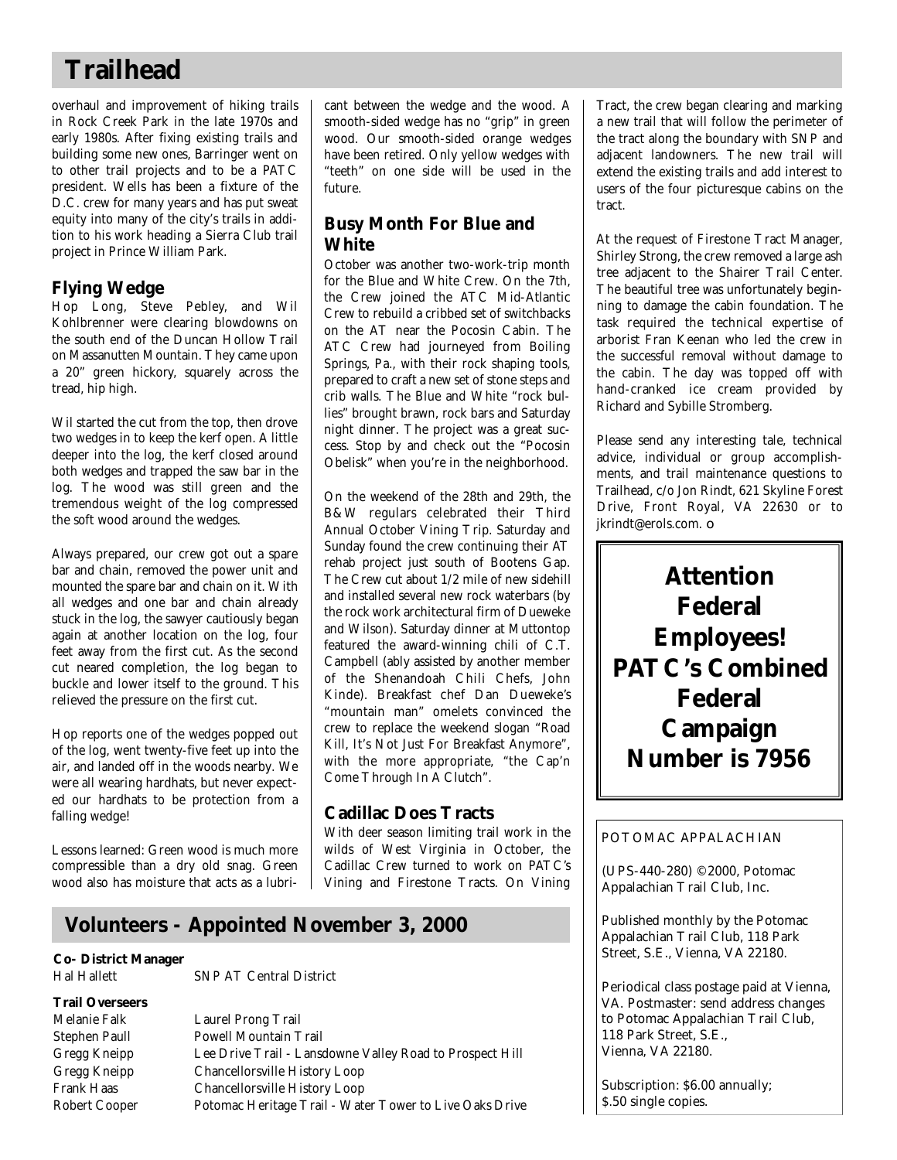## **Trailhead**

overhaul and improvement of hiking trails in Rock Creek Park in the late 1970s and early 1980s. After fixing existing trails and building some new ones, Barringer went on to other trail projects and to be a PATC president. Wells has been a fixture of the D.C. crew for many years and has put sweat equity into many of the city's trails in addition to his work heading a Sierra Club trail project in Prince William Park.

### **Flying Wedge**

Hop Long, Steve Pebley, and Wil Kohlbrenner were clearing blowdowns on the south end of the Duncan Hollow Trail on Massanutten Mountain. They came upon a 20" green hickory, squarely across the tread, hip high.

Wil started the cut from the top, then drove two wedges in to keep the kerf open. A little deeper into the log, the kerf closed around both wedges and trapped the saw bar in the log. The wood was still green and the tremendous weight of the log compressed the soft wood around the wedges.

Always prepared, our crew got out a spare bar and chain, removed the power unit and mounted the spare bar and chain on it. With all wedges and one bar and chain already stuck in the log, the sawyer cautiously began again at another location on the log, four feet away from the first cut. As the second cut neared completion, the log began to buckle and lower itself to the ground. This relieved the pressure on the first cut.

Hop reports one of the wedges popped out of the log, went twenty-five feet up into the air, and landed off in the woods nearby. We were all wearing hardhats, but never expected our hardhats to be protection from a falling wedge!

Lessons learned: Green wood is much more compressible than a dry old snag. Green wood also has moisture that acts as a lubricant between the wedge and the wood. A smooth-sided wedge has no "grip" in green wood. Our smooth-sided orange wedges have been retired. Only yellow wedges with "teeth" on one side will be used in the future.

### **Busy Month For Blue and White**

October was another two-work-trip month for the Blue and White Crew. On the 7th, the Crew joined the ATC Mid-Atlantic Crew to rebuild a cribbed set of switchbacks on the AT near the Pocosin Cabin. The ATC Crew had journeyed from Boiling Springs, Pa., with their rock shaping tools, prepared to craft a new set of stone steps and crib walls. The Blue and White "rock bullies" brought brawn, rock bars and Saturday night dinner. The project was a great success. Stop by and check out the "Pocosin Obelisk" when you're in the neighborhood.

On the weekend of the 28th and 29th, the B&W regulars celebrated their Third Annual October Vining Trip. Saturday and Sunday found the crew continuing their AT rehab project just south of Bootens Gap. The Crew cut about 1/2 mile of new sidehill and installed several new rock waterbars (by the rock work architectural firm of Dueweke and Wilson). Saturday dinner at Muttontop featured the award-winning chili of C.T. Campbell (ably assisted by another member of the Shenandoah Chili Chefs, John Kinde). Breakfast chef Dan Dueweke's "mountain man" omelets convinced the crew to replace the weekend slogan "Road Kill, It's Not Just For Breakfast Anymore", with the more appropriate, "the Cap'n Come Through In A Clutch".

### **Cadillac Does Tracts**

With deer season limiting trail work in the wilds of West Virginia in October, the Cadillac Crew turned to work on PATC's Vining and Firestone Tracts. On Vining

## **Volunteers - Appointed November 3, 2000**

#### **Co- District Manager**

**Trail Overseers**

Hal Hallett SNP AT Central District

Melanie Falk Laurel Prong Trail Stephen Paull Powell Mountain Trail Gregg Kneipp Lee Drive Trail - Lansdowne Valley Road to Prospect Hill Gregg Kneipp Chancellorsville History Loop Frank Haas Chancellorsville History Loop Robert Cooper Potomac Heritage Trail - Water Tower to Live Oaks Drive

Tract, the crew began clearing and marking a new trail that will follow the perimeter of the tract along the boundary with SNP and adjacent landowners. The new trail will extend the existing trails and add interest to users of the four picturesque cabins on the tract.

At the request of Firestone Tract Manager, Shirley Strong, the crew removed a large ash tree adjacent to the Shairer Trail Center. The beautiful tree was unfortunately beginning to damage the cabin foundation. The task required the technical expertise of arborist Fran Keenan who led the crew in the successful removal without damage to the cabin. The day was topped off with hand-cranked ice cream provided by Richard and Sybille Stromberg.

Please send any interesting tale, technical advice, individual or group accomplishments, and trail maintenance questions to Trailhead, c/o Jon Rindt, 621 Skyline Forest Drive, Front Royal, VA 22630 or to jkrindt@erols.com. ❏

**Attention Federal Employees! PATC's Combined Federal Campaign Number is 7956**

#### POTOMAC APPALACHIAN

(UPS-440-280) ©2000, Potomac Appalachian Trail Club, Inc.

Published monthly by the Potomac Appalachian Trail Club, 118 Park Street, S.E., Vienna, VA 22180.

Periodical class postage paid at Vienna, VA. Postmaster: send address changes to Potomac Appalachian Trail Club, 118 Park Street, S.E., Vienna, VA 22180.

Subscription: \$6.00 annually; \$.50 single copies.